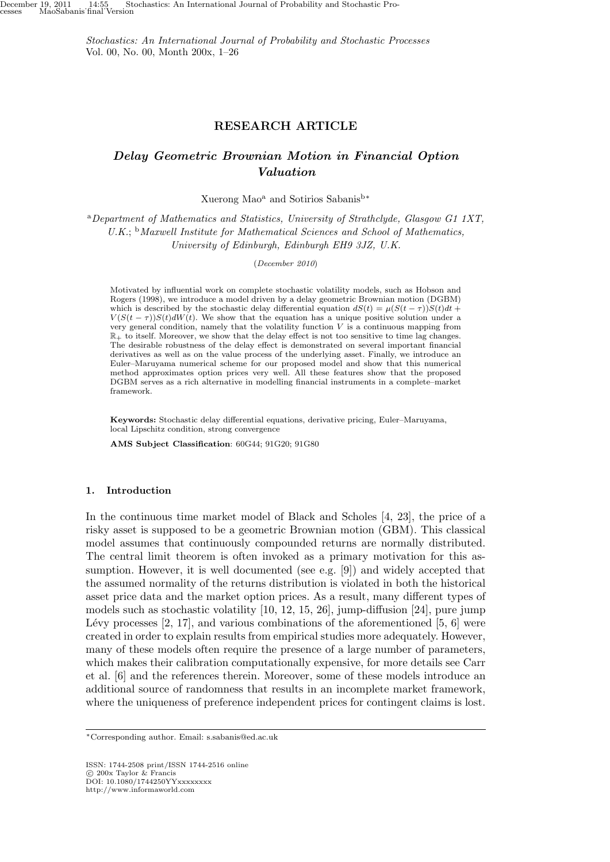*Stochastics: An International Journal of Probability and Stochastic Processes* Vol. 00, No. 00, Month 200x, 1–26

## **RESEARCH ARTICLE**

# *Delay Geometric Brownian Motion in Financial Option Valuation*

Xuerong Mao<sup>a</sup> and Sotirios Sabanis<sup>b</sup>*<sup>∗</sup>*

<sup>a</sup>*Department of Mathematics and Statistics, University of Strathclyde, Glasgow G1 1XT, U.K.*; <sup>b</sup>*Maxwell Institute for Mathematical Sciences and School of Mathematics, University of Edinburgh, Edinburgh EH9 3JZ, U.K.*

(*December 2010*)

Motivated by influential work on complete stochastic volatility models, such as Hobson and Rogers (1998), we introduce a model driven by a delay geometric Brownian motion (DGBM) which is described by the stochastic delay differential equation  $dS(t) = \mu(S(t-\tau))S(t)dt +$ *V*( $S(t - \tau)$ ) $S(t) dW(t)$ . We show that the equation has a unique positive solution under a very general condition, namely that the volatility function *V* is a continuous mapping from  $\mathbb{R}_+$  to itself. Moreover, we show that the delay effect is not too sensitive to time lag changes. The desirable robustness of the delay effect is demonstrated on several important financial derivatives as well as on the value process of the underlying asset. Finally, we introduce an Euler–Maruyama numerical scheme for our proposed model and show that this numerical method approximates option prices very well. All these features show that the proposed DGBM serves as a rich alternative in modelling financial instruments in a complete–market framework.

**Keywords:** Stochastic delay differential equations, derivative pricing, Euler–Maruyama, local Lipschitz condition, strong convergence

**AMS Subject Classification**: 60G44; 91G20; 91G80

### **1. Introduction**

In the continuous time market model of Black and Scholes [4, 23], the price of a risky asset is supposed to be a geometric Brownian motion (GBM). This classical model assumes that continuously compounded returns are normally distributed. The central limit theorem is often invoked as a primary motivation for this assumption. However, it is well documented (see e.g. [9]) and widely accepted that the assumed normality of the returns distribution is violated in both the historical asset price data and the market option prices. As a result, many different types of models such as stochastic volatility [10, 12, 15, 26], jump-diffusion [24], pure jump Lévy processes  $[2, 17]$ , and various combinations of the aforementioned  $[5, 6]$  were created in order to explain results from empirical studies more adequately. However, many of these models often require the presence of a large number of parameters, which makes their calibration computationally expensive, for more details see Carr et al. [6] and the references therein. Moreover, some of these models introduce an additional source of randomness that results in an incomplete market framework, where the uniqueness of preference independent prices for contingent claims is lost.

ISSN: 1744-2508 print/ISSN 1744-2516 online *⃝*c 200x Taylor & Francis DOI: 10.1080/1744250YYxxxxxxxx http://www.informaworld.com

*<sup>∗</sup>*Corresponding author. Email: s.sabanis@ed.ac.uk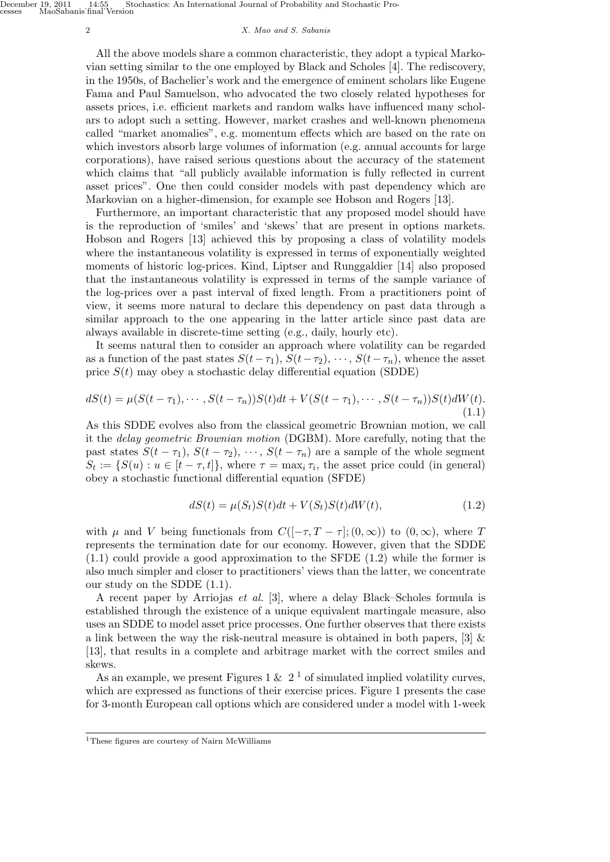#### 2 *X. Mao and S. Sabanis*

All the above models share a common characteristic, they adopt a typical Markovian setting similar to the one employed by Black and Scholes [4]. The rediscovery, in the 1950s, of Bachelier's work and the emergence of eminent scholars like Eugene Fama and Paul Samuelson, who advocated the two closely related hypotheses for assets prices, i.e. efficient markets and random walks have influenced many scholars to adopt such a setting. However, market crashes and well-known phenomena called "market anomalies", e.g. momentum effects which are based on the rate on which investors absorb large volumes of information (e.g. annual accounts for large corporations), have raised serious questions about the accuracy of the statement which claims that "all publicly available information is fully reflected in current asset prices". One then could consider models with past dependency which are Markovian on a higher-dimension, for example see Hobson and Rogers [13].

Furthermore, an important characteristic that any proposed model should have is the reproduction of 'smiles' and 'skews' that are present in options markets. Hobson and Rogers [13] achieved this by proposing a class of volatility models where the instantaneous volatility is expressed in terms of exponentially weighted moments of historic log-prices. Kind, Liptser and Runggaldier [14] also proposed that the instantaneous volatility is expressed in terms of the sample variance of the log-prices over a past interval of fixed length. From a practitioners point of view, it seems more natural to declare this dependency on past data through a similar approach to the one appearing in the latter article since past data are always available in discrete-time setting (e.g., daily, hourly etc).

It seems natural then to consider an approach where volatility can be regarded as a function of the past states  $S(t-\tau_1), S(t-\tau_2), \cdots, S(t-\tau_n)$ , whence the asset price  $S(t)$  may obey a stochastic delay differential equation (SDDE)

$$
dS(t) = \mu(S(t - \tau_1), \cdots, S(t - \tau_n))S(t)dt + V(S(t - \tau_1), \cdots, S(t - \tau_n))S(t)dW(t).
$$
\n(1.1)

As this SDDE evolves also from the classical geometric Brownian motion, we call it the *delay geometric Brownian motion* (DGBM). More carefully, noting that the past states  $S(t - \tau_1)$ ,  $S(t - \tau_2)$ ,  $\cdots$ ,  $S(t - \tau_n)$  are a sample of the whole segment  $S_t := \{ S(u) : u \in [t - \tau, t] \}$ , where  $\tau = \max_i \tau_i$ , the asset price could (in general) obey a stochastic functional differential equation (SFDE)

$$
dS(t) = \mu(S_t)S(t)dt + V(S_t)S(t)dW(t),\tag{1.2}
$$

with  $\mu$  and  $V$  being functionals from  $C([-\tau, T - \tau]; (0, \infty))$  to  $(0, \infty)$ , where  $T$ represents the termination date for our economy. However, given that the SDDE (1.1) could provide a good approximation to the SFDE (1.2) while the former is also much simpler and closer to practitioners' views than the latter, we concentrate our study on the SDDE (1.1).

A recent paper by Arriojas *et al.* [3], where a delay Black–Scholes formula is established through the existence of a unique equivalent martingale measure, also uses an SDDE to model asset price processes. One further observes that there exists a link between the way the risk-neutral measure is obtained in both papers, [3] & [13], that results in a complete and arbitrage market with the correct smiles and skews.

As an example, we present Figures 1 &  $2<sup>1</sup>$  of simulated implied volatility curves, which are expressed as functions of their exercise prices. Figure 1 presents the case for 3-month European call options which are considered under a model with 1-week

<sup>1</sup>These figures are courtesy of Nairn McWilliams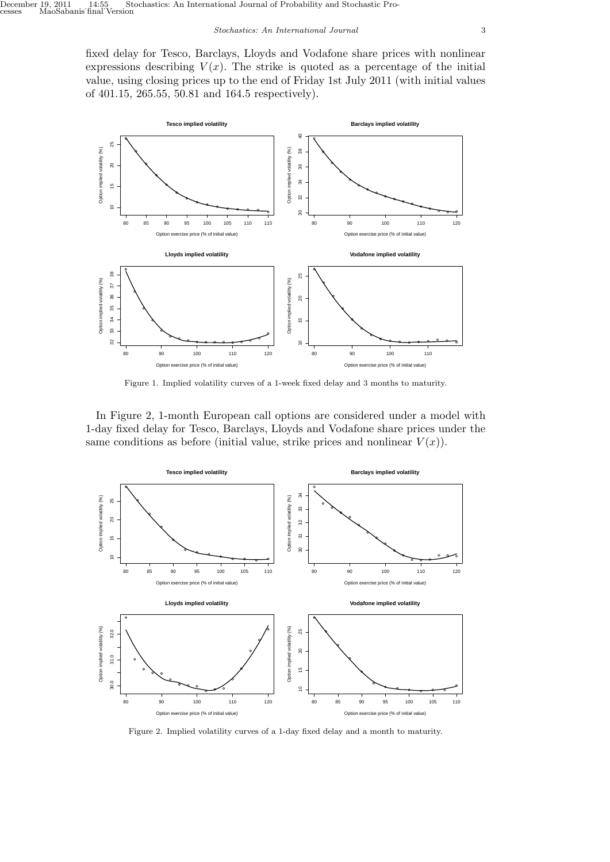fixed delay for Tesco, Barclays, Lloyds and Vodafone share prices with nonlinear expressions describing  $V(x)$ . The strike is quoted as a percentage of the initial value, using closing prices up to the end of Friday 1st July 2011 (with initial values of 401.15, 265.55, 50.81 and 164.5 respectively).



Figure 1. Implied volatility curves of a 1-week fixed delay and 3 months to maturity.

In Figure 2, 1-month European call options are considered under a model with 1-day fixed delay for Tesco, Barclays, Lloyds and Vodafone share prices under the same conditions as before (initial value, strike prices and nonlinear  $V(x)$ ).



Figure 2. Implied volatility curves of a 1-day fixed delay and a month to maturity.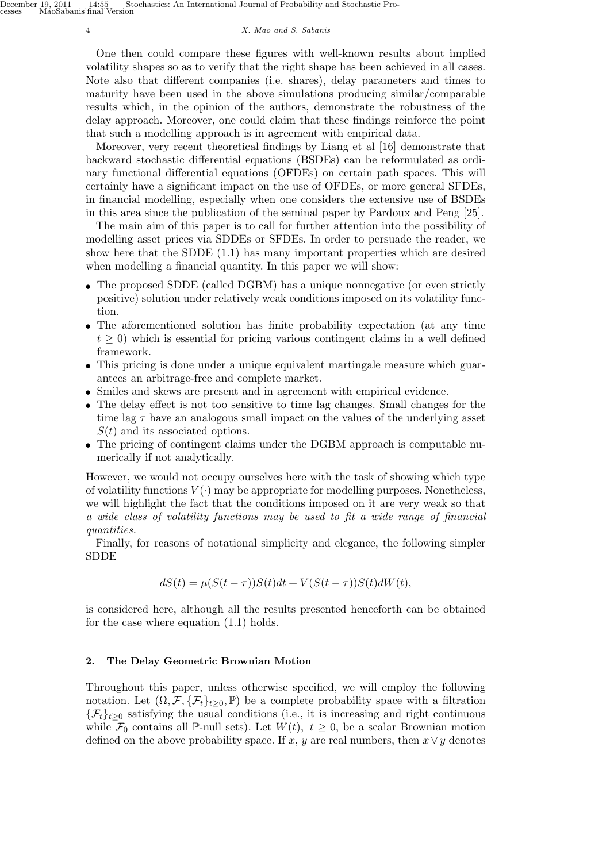#### 4 *X. Mao and S. Sabanis*

One then could compare these figures with well-known results about implied volatility shapes so as to verify that the right shape has been achieved in all cases. Note also that different companies (i.e. shares), delay parameters and times to maturity have been used in the above simulations producing similar/comparable results which, in the opinion of the authors, demonstrate the robustness of the delay approach. Moreover, one could claim that these findings reinforce the point that such a modelling approach is in agreement with empirical data.

Moreover, very recent theoretical findings by Liang et al [16] demonstrate that backward stochastic differential equations (BSDEs) can be reformulated as ordinary functional differential equations (OFDEs) on certain path spaces. This will certainly have a significant impact on the use of OFDEs, or more general SFDEs, in financial modelling, especially when one considers the extensive use of BSDEs in this area since the publication of the seminal paper by Pardoux and Peng [25].

The main aim of this paper is to call for further attention into the possibility of modelling asset prices via SDDEs or SFDEs. In order to persuade the reader, we show here that the SDDE (1.1) has many important properties which are desired when modelling a financial quantity. In this paper we will show:

- The proposed SDDE (called DGBM) has a unique nonnegative (or even strictly positive) solution under relatively weak conditions imposed on its volatility function.
- The aforementioned solution has finite probability expectation (at any time  $t \geq 0$ ) which is essential for pricing various contingent claims in a well defined framework.
- This pricing is done under a unique equivalent martingale measure which guarantees an arbitrage-free and complete market.
- *•* Smiles and skews are present and in agreement with empirical evidence.
- The delay effect is not too sensitive to time lag changes. Small changes for the time lag *τ* have an analogous small impact on the values of the underlying asset *S*(*t*) and its associated options.
- The pricing of contingent claims under the DGBM approach is computable numerically if not analytically.

However, we would not occupy ourselves here with the task of showing which type of volatility functions  $V(\cdot)$  may be appropriate for modelling purposes. Nonetheless, we will highlight the fact that the conditions imposed on it are very weak so that *a wide class of volatility functions may be used to fit a wide range of financial quantities.*

Finally, for reasons of notational simplicity and elegance, the following simpler SDDE

$$
dS(t) = \mu(S(t-\tau))S(t)dt + V(S(t-\tau))S(t)dW(t),
$$

is considered here, although all the results presented henceforth can be obtained for the case where equation (1.1) holds.

# **2. The Delay Geometric Brownian Motion**

Throughout this paper, unless otherwise specified, we will employ the following notation. Let  $(\Omega, \mathcal{F}, \{\mathcal{F}_t\}_{t>0}, \mathbb{P})$  be a complete probability space with a filtration  ${F_t}_{t\geq0}$  satisfying the usual conditions (i.e., it is increasing and right continuous while  $\mathcal{F}_0$  contains all P-null sets). Let  $W(t)$ ,  $t \geq 0$ , be a scalar Brownian motion defined on the above probability space. If *x*, *y* are real numbers, then  $x \vee y$  denotes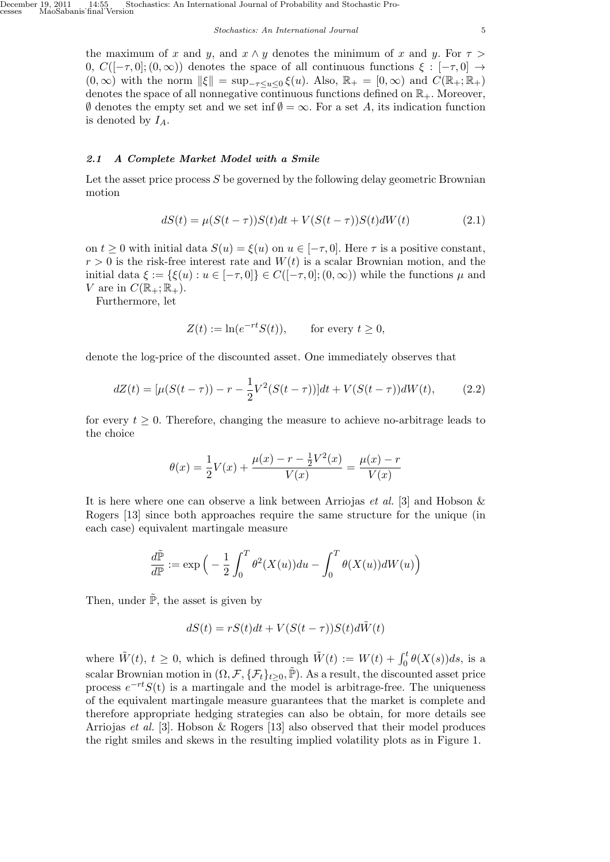the maximum of *x* and *y*, and  $x \wedge y$  denotes the minimum of *x* and *y*. For  $\tau >$ 0,  $C([-\tau,0];(0,\infty))$  denotes the space of all continuous functions  $\xi : [-\tau,0] \rightarrow$  $(0, \infty)$  with the norm  $\|\xi\| = \sup_{-\tau \le u \le 0} \xi(u)$ . Also,  $\mathbb{R}_+ = [0, \infty)$  and  $C(\mathbb{R}_+; \mathbb{R}_+)$ denotes the space of all nonnegative continuous functions defined on  $\mathbb{R}_+$ . Moreover, *∅* denotes the empty set and we set inf *∅* = *∞*. For a set *A*, its indication function is denoted by *IA*.

### *2.1 A Complete Market Model with a Smile*

Let the asset price process *S* be governed by the following delay geometric Brownian motion

$$
dS(t) = \mu(S(t - \tau))S(t)dt + V(S(t - \tau))S(t)dW(t)
$$
\n(2.1)

on  $t \geq 0$  with initial data  $S(u) = \xi(u)$  on  $u \in [-\tau, 0]$ . Here  $\tau$  is a positive constant,  $r > 0$  is the risk-free interest rate and  $W(t)$  is a scalar Brownian motion, and the initial data  $\xi := {\xi(u) : u \in [-\tau, 0]} \in C([-\tau, 0]; (0, \infty))$  while the functions  $\mu$  and *V* are in  $C(\mathbb{R}_+;\mathbb{R}_+).$ 

Furthermore, let

$$
Z(t) := \ln(e^{-rt}S(t)), \qquad \text{for every } t \ge 0,
$$

denote the log-price of the discounted asset. One immediately observes that

$$
dZ(t) = \left[\mu(S(t-\tau)) - r - \frac{1}{2}V^2(S(t-\tau))\right]dt + V(S(t-\tau))dW(t),\tag{2.2}
$$

for every  $t \geq 0$ . Therefore, changing the measure to achieve no-arbitrage leads to the choice

$$
\theta(x) = \frac{1}{2}V(x) + \frac{\mu(x) - r - \frac{1}{2}V^2(x)}{V(x)} = \frac{\mu(x) - r}{V(x)}
$$

It is here where one can observe a link between Arriojas *et al.* [3] and Hobson & Rogers [13] since both approaches require the same structure for the unique (in each case) equivalent martingale measure

$$
\frac{d\tilde{\mathbb{P}}}{d\mathbb{P}} := \exp\Big(-\frac{1}{2}\int_0^T\theta^2(X(u))du - \int_0^T\theta(X(u))dW(u)\Big)
$$

Then, under  $\tilde{\mathbb{P}}$ , the asset is given by

$$
dS(t) = rS(t)dt + V(S(t - \tau))S(t)d\tilde{W}(t)
$$

where  $\tilde{W}(t)$ ,  $t \geq 0$ , which is defined through  $\tilde{W}(t) := W(t) + \int_0^t \theta(X(s))ds$ , is a scalar Brownian motion in  $(\Omega, \mathcal{F}, \{\mathcal{F}_t\}_{t>0}, \tilde{\mathbb{P}})$ . As a result, the discounted asset price process  $e^{-rt}S(t)$  is a martingale and the model is arbitrage-free. The uniqueness of the equivalent martingale measure guarantees that the market is complete and therefore appropriate hedging strategies can also be obtain, for more details see Arriojas *et al.* [3]. Hobson & Rogers [13] also observed that their model produces the right smiles and skews in the resulting implied volatility plots as in Figure 1.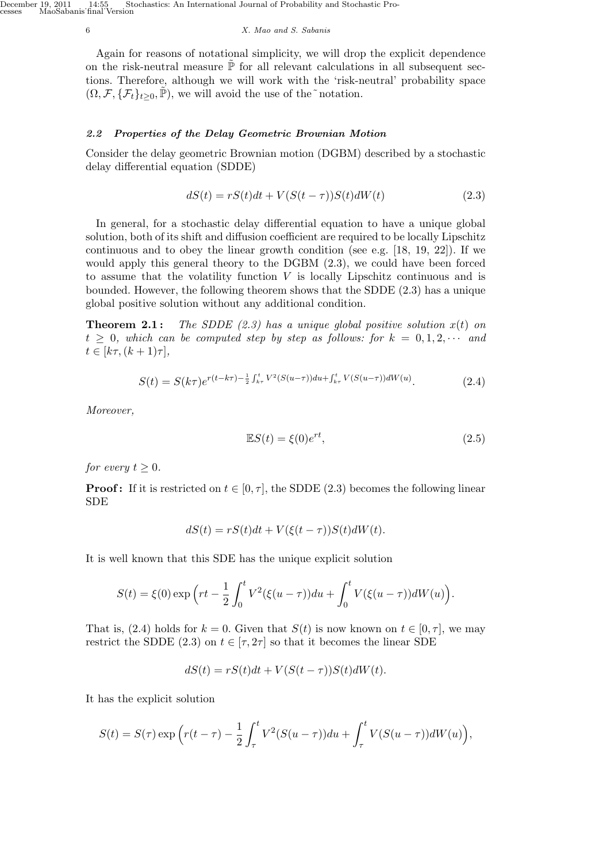#### 6 *X. Mao and S. Sabanis*

Again for reasons of notational simplicity, we will drop the explicit dependence on the risk-neutral measure  $\tilde{\mathbb{P}}$  for all relevant calculations in all subsequent sections. Therefore, although we will work with the 'risk-neutral' probability space  $(\Omega, \mathcal{F}, \{\mathcal{F}_t\}_{t\geq 0}, \mathbb{P})$ , we will avoid the use of the ~notation.

# *2.2 Properties of the Delay Geometric Brownian Motion*

Consider the delay geometric Brownian motion (DGBM) described by a stochastic delay differential equation (SDDE)

$$
dS(t) = rS(t)dt + V(S(t - \tau))S(t)dW(t)
$$
\n(2.3)

In general, for a stochastic delay differential equation to have a unique global solution, both of its shift and diffusion coefficient are required to be locally Lipschitz continuous and to obey the linear growth condition (see e.g. [18, 19, 22]). If we would apply this general theory to the DGBM (2.3), we could have been forced to assume that the volatility function *V* is locally Lipschitz continuous and is bounded. However, the following theorem shows that the SDDE (2.3) has a unique global positive solution without any additional condition.

**Theorem 2.1:** *The SDDE*  $(2.3)$  has a unique global positive solution  $x(t)$  on  $t \geq 0$ *, which can be computed step by step as follows: for*  $k = 0, 1, 2, \cdots$  and  $t \in [k\tau, (k+1)\tau],$ 

$$
S(t) = S(k\tau)e^{r(t-k\tau) - \frac{1}{2}\int_{k\tau}^{t} V^2(S(u-\tau))du + \int_{k\tau}^{t} V(S(u-\tau))dW(u)}.
$$
\n(2.4)

*Moreover,*

$$
\mathbb{E}S(t) = \xi(0)e^{rt},\tag{2.5}
$$

*for every*  $t \geq 0$ *.* 

**Proof:** If it is restricted on  $t \in [0, \tau]$ , the SDDE (2.3) becomes the following linear SDE

$$
dS(t) = rS(t)dt + V(\xi(t-\tau))S(t)dW(t).
$$

It is well known that this SDE has the unique explicit solution

$$
S(t) = \xi(0) \exp\left(rt - \frac{1}{2} \int_0^t V^2(\xi(u-\tau))du + \int_0^t V(\xi(u-\tau))dW(u)\right).
$$

That is, (2.4) holds for  $k = 0$ . Given that  $S(t)$  is now known on  $t \in [0, \tau]$ , we may restrict the SDDE (2.3) on  $t \in [\tau, 2\tau]$  so that it becomes the linear SDE

$$
dS(t) = rS(t)dt + V(S(t - \tau))S(t)dW(t).
$$

It has the explicit solution

$$
S(t) = S(\tau) \exp\left(r(t-\tau) - \frac{1}{2}\int_{\tau}^{t} V^2(S(u-\tau))du + \int_{\tau}^{t} V(S(u-\tau))dW(u)\right),
$$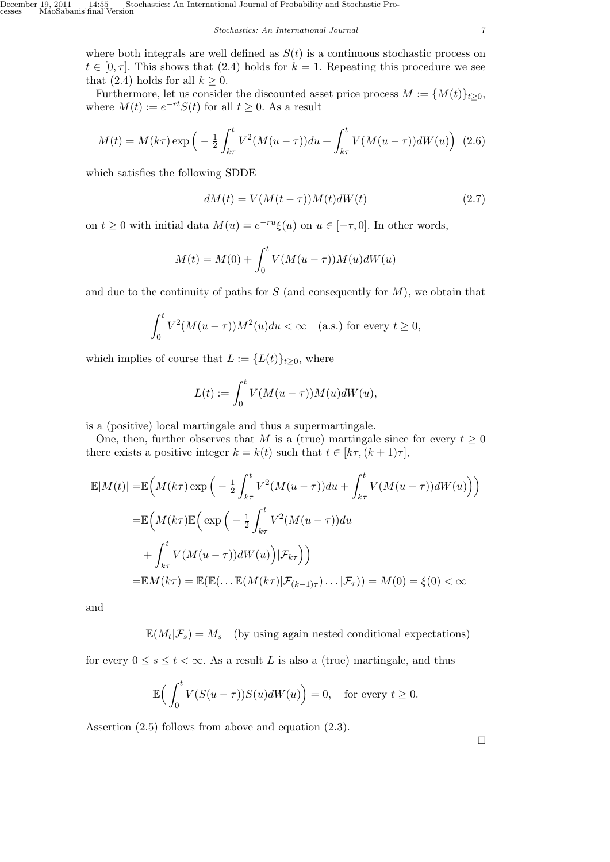where both integrals are well defined as  $S(t)$  is a continuous stochastic process on  $t \in [0, \tau]$ . This shows that (2.4) holds for  $k = 1$ . Repeating this procedure we see that  $(2.4)$  holds for all  $k \geq 0$ .

Furthermore, let us consider the discounted asset price process  $M := \{M(t)\}_{t \geq 0}$ , where  $M(t) := e^{-rt}S(t)$  for all  $t \geq 0$ . As a result

$$
M(t) = M(k\tau) \exp\left(-\frac{1}{2} \int_{k\tau}^{t} V^2 (M(u-\tau)) du + \int_{k\tau}^{t} V (M(u-\tau)) dW(u)\right) (2.6)
$$

which satisfies the following SDDE

$$
dM(t) = V(M(t - \tau))M(t)dW(t)
$$
\n(2.7)

on  $t \geq 0$  with initial data  $M(u) = e^{-ru}\xi(u)$  on  $u \in [-\tau, 0]$ . In other words,

$$
M(t) = M(0) + \int_0^t V(M(u - \tau))M(u)dW(u)
$$

and due to the continuity of paths for *S* (and consequently for *M*), we obtain that

$$
\int_0^t V^2(M(u-\tau))M^2(u)du < \infty \quad \text{(a.s.) for every } t \ge 0,
$$

which implies of course that  $L := \{L(t)\}_{t\geq0}$ , where

$$
L(t) := \int_0^t V(M(u - \tau))M(u)dW(u),
$$

is a (positive) local martingale and thus a supermartingale.

One, then, further observes that *M* is a (true) martingale since for every  $t \geq 0$ there exists a positive integer  $k = k(t)$  such that  $t \in [k\tau, (k+1)\tau]$ ,

$$
\mathbb{E}|M(t)| = \mathbb{E}\Big(M(k\tau)\exp\Big(-\frac{1}{2}\int_{k\tau}^t V^2(M(u-\tau))du + \int_{k\tau}^t V(M(u-\tau))dW(u)\Big)\Big)
$$

$$
= \mathbb{E}\Big(M(k\tau)\mathbb{E}\Big(\exp\Big(-\frac{1}{2}\int_{k\tau}^t V^2(M(u-\tau))du + \int_{k\tau}^t V(M(u-\tau))dW(u)\Big)|\mathcal{F}_{k\tau}\Big)\Big)
$$

$$
= \mathbb{E}M(k\tau) = \mathbb{E}(\mathbb{E}(\dots \mathbb{E}(M(k\tau)|\mathcal{F}_{(k-1)\tau})\dots|\mathcal{F}_{\tau})) = M(0) = \xi(0) < \infty
$$

and

 $\mathbb{E}(M_t|\mathcal{F}_s) = M_s$  (by using again nested conditional expectations)

for every  $0 \le s \le t < \infty$ . As a result *L* is also a (true) martingale, and thus

$$
\mathbb{E}\Big(\int_0^t V(S(u-\tau))S(u)dW(u)\Big)=0, \text{ for every } t\geq 0.
$$

Assertion (2.5) follows from above and equation (2.3).

 $\Box$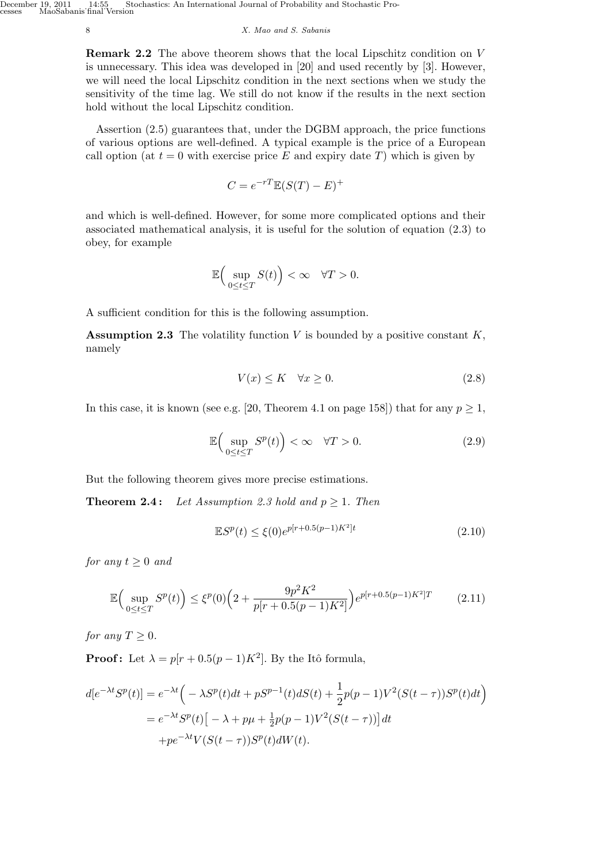#### 8 *X. Mao and S. Sabanis*

**Remark 2.2** The above theorem shows that the local Lipschitz condition on *V* is unnecessary. This idea was developed in [20] and used recently by [3]. However, we will need the local Lipschitz condition in the next sections when we study the sensitivity of the time lag. We still do not know if the results in the next section hold without the local Lipschitz condition.

Assertion (2.5) guarantees that, under the DGBM approach, the price functions of various options are well-defined. A typical example is the price of a European call option (at  $t = 0$  with exercise price E and expiry date T) which is given by

$$
C = e^{-rT} \mathbb{E}(S(T) - E)^+
$$

and which is well-defined. However, for some more complicated options and their associated mathematical analysis, it is useful for the solution of equation (2.3) to obey, for example

$$
\mathbb{E}\Big(\sup_{0\leq t\leq T}S(t)\Big)<\infty\quad \forall T>0.
$$

A sufficient condition for this is the following assumption.

**Assumption 2.3** The volatility function *V* is bounded by a positive constant *K*, namely

$$
V(x) \le K \quad \forall x \ge 0. \tag{2.8}
$$

In this case, it is known (see e.g. [20, Theorem 4.1 on page 158]) that for any  $p \ge 1$ ,

$$
\mathbb{E}\Big(\sup_{0\leq t\leq T} S^p(t)\Big)<\infty\quad\forall T>0.\tag{2.9}
$$

But the following theorem gives more precise estimations.

**Theorem 2.4:** *Let Assumption 2.3 hold and*  $p \ge 1$ *. Then* 

$$
\mathbb{E}S^{p}(t) \le \xi(0)e^{p[r+0.5(p-1)K^{2}]t}
$$
\n(2.10)

*for any*  $t \geq 0$  *and* 

$$
\mathbb{E}\Big(\sup_{0\leq t\leq T} S^p(t)\Big) \leq \xi^p(0)\Big(2 + \frac{9p^2K^2}{p[r+0.5(p-1)K^2]}\Big)e^{p[r+0.5(p-1)K^2]T} \tag{2.11}
$$

*for any*  $T \geq 0$ *.* 

**Proof:** Let  $\lambda = p[r + 0.5(p-1)K^2]$ . By the Itô formula,

$$
d[e^{-\lambda t}S^p(t)] = e^{-\lambda t} \left( -\lambda S^p(t)dt + pS^{p-1}(t)dS(t) + \frac{1}{2}p(p-1)V^2(S(t-\tau))S^p(t)dt \right)
$$
  
= 
$$
e^{-\lambda t}S^p(t) \left[ -\lambda + p\mu + \frac{1}{2}p(p-1)V^2(S(t-\tau)) \right]dt
$$
  
+ 
$$
p e^{-\lambda t} V(S(t-\tau))S^p(t)dW(t).
$$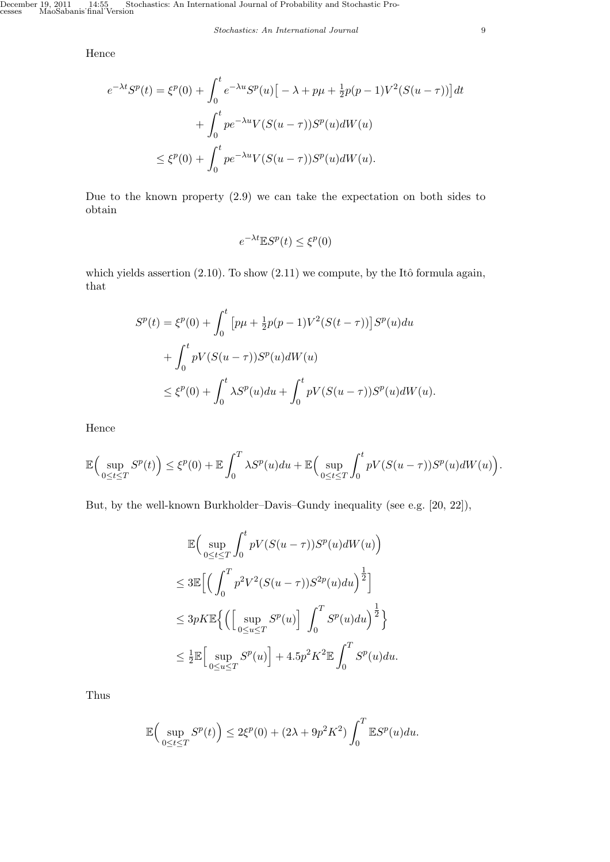# Hence

$$
e^{-\lambda t}S^{p}(t) = \xi^{p}(0) + \int_{0}^{t} e^{-\lambda u}S^{p}(u) \left[ -\lambda + p\mu + \frac{1}{2}p(p-1)V^{2}(S(u-\tau)) \right] dt
$$
  
+ 
$$
\int_{0}^{t} p e^{-\lambda u} V(S(u-\tau))S^{p}(u) dW(u)
$$
  

$$
\leq \xi^{p}(0) + \int_{0}^{t} p e^{-\lambda u} V(S(u-\tau))S^{p}(u) dW(u).
$$

Due to the known property (2.9) we can take the expectation on both sides to obtain

$$
e^{-\lambda t} \mathbb{E} S^p(t) \le \xi^p(0)
$$

which yields assertion  $(2.10)$ . To show  $(2.11)$  we compute, by the Itô formula again, that

$$
S^{p}(t) = \xi^{p}(0) + \int_{0}^{t} \left[ p\mu + \frac{1}{2}p(p-1)V^{2}(S(t-\tau)) \right] S^{p}(u) du
$$
  
+ 
$$
\int_{0}^{t} pV(S(u-\tau)) S^{p}(u) dW(u)
$$
  

$$
\leq \xi^{p}(0) + \int_{0}^{t} \lambda S^{p}(u) du + \int_{0}^{t} pV(S(u-\tau)) S^{p}(u) dW(u).
$$

Hence

$$
\mathbb{E}\Big(\sup_{0\leq t\leq T}S^{p}(t)\Big)\leq \xi^{p}(0)+\mathbb{E}\int_{0}^{T}\lambda S^{p}(u)du+\mathbb{E}\Big(\sup_{0\leq t\leq T}\int_{0}^{t}pV(S(u-\tau))S^{p}(u)dW(u)\Big).
$$

But, by the well-known Burkholder–Davis–Gundy inequality (see e.g. [20, 22]),

$$
\mathbb{E}\Big(\sup_{0\leq t\leq T}\int_0^t pV(S(u-\tau))S^p(u)dW(u)\Big)
$$
  
\n
$$
\leq 3\mathbb{E}\Big[\Big(\int_0^T p^2V^2(S(u-\tau))S^{2p}(u)du\Big)^{\frac{1}{2}}\Big]
$$
  
\n
$$
\leq 3pK\mathbb{E}\Big\{\Big(\Big[\sup_{0\leq u\leq T}S^p(u)\Big]\int_0^T S^p(u)du\Big)^{\frac{1}{2}}\Big\}
$$
  
\n
$$
\leq \frac{1}{2}\mathbb{E}\Big[\sup_{0\leq u\leq T}S^p(u)\Big]+4.5p^2K^2\mathbb{E}\int_0^T S^p(u)du.
$$

Thus

$$
\mathbb{E}\Big(\sup_{0\leq t\leq T} S^p(t)\Big) \leq 2\xi^p(0) + (2\lambda + 9p^2K^2) \int_0^T \mathbb{E}S^p(u)du.
$$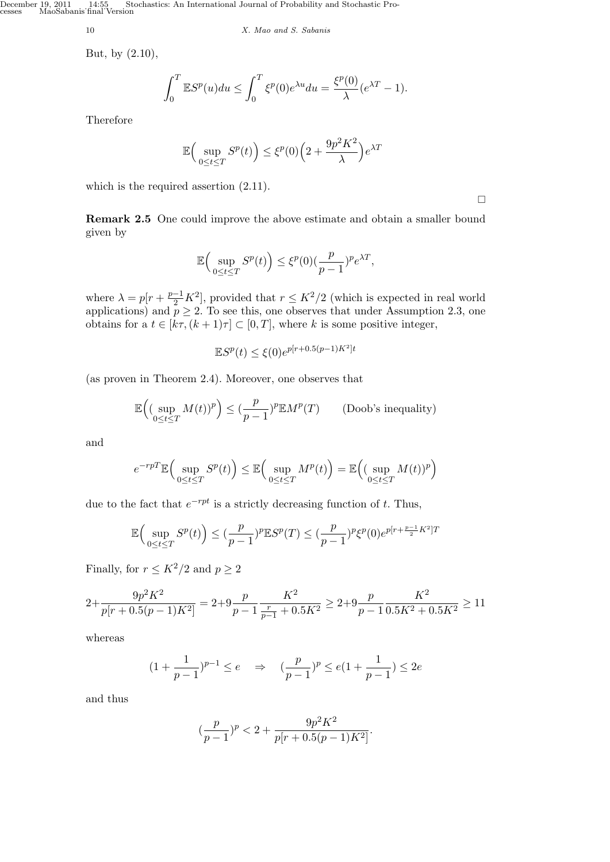December 19, 2011 14:55, Stochastics: An International Journal of Probability and Stochastic Processes MaoSabanis˙final˙Version

10 *X. Mao and S. Sabanis*

But, by (2.10),

$$
\int_0^T \mathbb{E}S^p(u)du \le \int_0^T \xi^p(0)e^{\lambda u}du = \frac{\xi^p(0)}{\lambda}(e^{\lambda T} - 1).
$$

Therefore

$$
\mathbb{E}\Big(\sup_{0\leq t\leq T} S^p(t)\Big)\leq \xi^p(0)\Big(2+\frac{9p^2K^2}{\lambda}\Big)e^{\lambda T}
$$

which is the required assertion (2.11).

**Remark 2.5** One could improve the above estimate and obtain a smaller bound given by

$$
\mathbb{E}\Big(\sup_{0\leq t\leq T}S^p(t)\Big)\leq \xi^p(0)(\frac{p}{p-1})^pe^{\lambda T},
$$

where  $\lambda = p[r + \frac{p-1}{2}K^2]$ , provided that  $r \leq K^2/2$  (which is expected in real world applications) and  $p \geq 2$ . To see this, one observes that under Assumption 2.3, one obtains for a  $t \in [k\tau, (k+1)\tau] \subset [0, T]$ , where *k* is some positive integer,

$$
\mathbb{E}S^{p}(t) \le \xi(0)e^{p[r+0.5(p-1)K^{2}]t}
$$

(as proven in Theorem 2.4). Moreover, one observes that

$$
\mathbb{E}\Big( (\sup_{0\leq t\leq T} M(t))^p\Big) \leq (\frac{p}{p-1})^p \mathbb{E} M^p(T) \qquad \text{(Doob's inequality)}
$$

and

$$
e^{-rpT} \mathbb{E}\Big(\sup_{0\leq t\leq T} S^p(t)\Big) \leq \mathbb{E}\Big(\sup_{0\leq t\leq T} M^p(t)\Big) = \mathbb{E}\Big(\big(\sup_{0\leq t\leq T} M(t)\big)^p\Big)
$$

due to the fact that  $e^{-rpt}$  is a strictly decreasing function of *t*. Thus,

$$
\mathbb{E}\Big(\sup_{0\leq t\leq T}S^{p}(t)\Big)\leq (\frac{p}{p-1})^{p}\mathbb{E}S^{p}(T)\leq (\frac{p}{p-1})^{p}\xi^{p}(0)e^{p\left[r+\frac{p-1}{2}K^{2}\right]T}
$$

Finally, for  $r \leq K^2/2$  and  $p \geq 2$ 

$$
2 + \frac{9p^2K^2}{p[r+0.5(p-1)K^2]} = 2 + 9\frac{p}{p-1}\frac{K^2}{\frac{r}{p-1} + 0.5K^2} \ge 2 + 9\frac{p}{p-1}\frac{K^2}{0.5K^2 + 0.5K^2} \ge 11
$$

whereas

$$
(1+\frac{1}{p-1})^{p-1} \le e \quad \Rightarrow \quad (\frac{p}{p-1})^p \le e(1+\frac{1}{p-1}) \le 2e
$$

and thus

$$
(\frac{p}{p-1})^p < 2 + \frac{9p^2K^2}{p[r+0.5(p-1)K^2]}.
$$

 $\Box$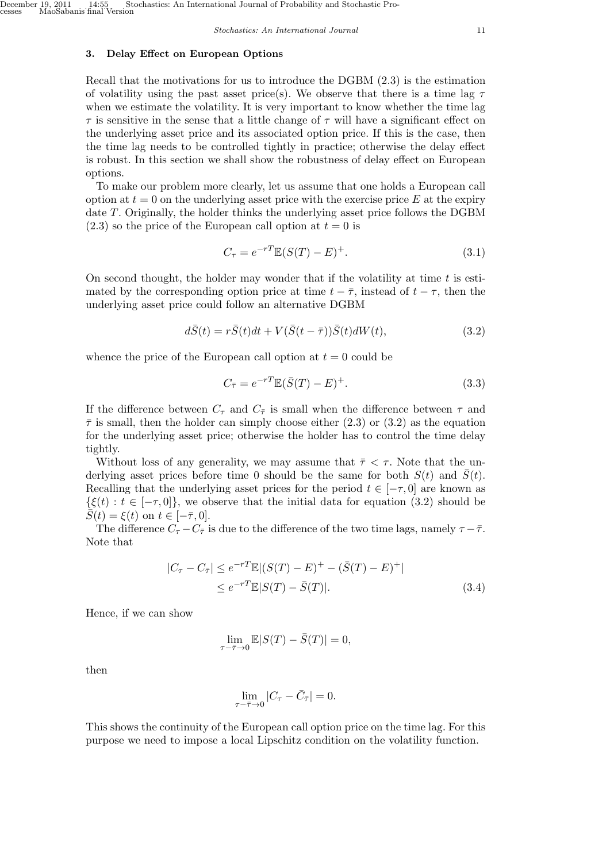# **3. Delay Effect on European Options**

Recall that the motivations for us to introduce the DGBM (2.3) is the estimation of volatility using the past asset price(s). We observe that there is a time lag *τ* when we estimate the volatility. It is very important to know whether the time lag *τ* is sensitive in the sense that a little change of *τ* will have a significant effect on the underlying asset price and its associated option price. If this is the case, then the time lag needs to be controlled tightly in practice; otherwise the delay effect is robust. In this section we shall show the robustness of delay effect on European options.

To make our problem more clearly, let us assume that one holds a European call option at  $t = 0$  on the underlying asset price with the exercise price  $E$  at the expiry date *T*. Originally, the holder thinks the underlying asset price follows the DGBM  $(2.3)$  so the price of the European call option at  $t = 0$  is

$$
C_{\tau} = e^{-rT} \mathbb{E}(S(T) - E)^{+}.
$$
\n(3.1)

On second thought, the holder may wonder that if the volatility at time *t* is estimated by the corresponding option price at time  $t - \overline{\tau}$ , instead of  $t - \tau$ , then the underlying asset price could follow an alternative DGBM

$$
d\overline{S}(t) = r\overline{S}(t)dt + V(\overline{S}(t-\overline{\tau}))\overline{S}(t)dW(t),
$$
\n(3.2)

whence the price of the European call option at  $t = 0$  could be

$$
C_{\bar{\tau}} = e^{-rT} \mathbb{E} (\bar{S}(T) - E)^{+}.
$$
 (3.3)

If the difference between  $C_{\tau}$  and  $C_{\bar{\tau}}$  is small when the difference between  $\tau$  and  $\bar{\tau}$  is small, then the holder can simply choose either (2.3) or (3.2) as the equation for the underlying asset price; otherwise the holder has to control the time delay tightly.

Without loss of any generality, we may assume that  $\bar{\tau} < \tau$ . Note that the underlying asset prices before time 0 should be the same for both  $S(t)$  and  $\overline{S}(t)$ . Recalling that the underlying asset prices for the period  $t \in [-\tau, 0]$  are known as  $\{\xi(t): t \in [-\tau, 0]\}$ , we observe that the initial data for equation (3.2) should be  $\bar{S}(t) = \xi(t)$  on  $t \in [-\bar{\tau}, 0].$ 

The difference  $C_{\tau} - C_{\bar{\tau}}$  is due to the difference of the two time lags, namely  $\tau - \bar{\tau}$ . Note that

$$
|C_{\tau} - C_{\bar{\tau}}| \le e^{-rT} \mathbb{E} |(S(T) - E)^{+} - (\bar{S}(T) - E)^{+}|
$$
  
 
$$
\le e^{-rT} \mathbb{E} |S(T) - \bar{S}(T)|.
$$
 (3.4)

Hence, if we can show

$$
\lim_{\tau - \bar{\tau} \to 0} \mathbb{E} |S(T) - \bar{S}(T)| = 0,
$$

then

$$
\lim_{\tau - \bar{\tau} \to 0} |C_{\tau} - \bar{C}_{\bar{\tau}}| = 0.
$$

This shows the continuity of the European call option price on the time lag. For this purpose we need to impose a local Lipschitz condition on the volatility function.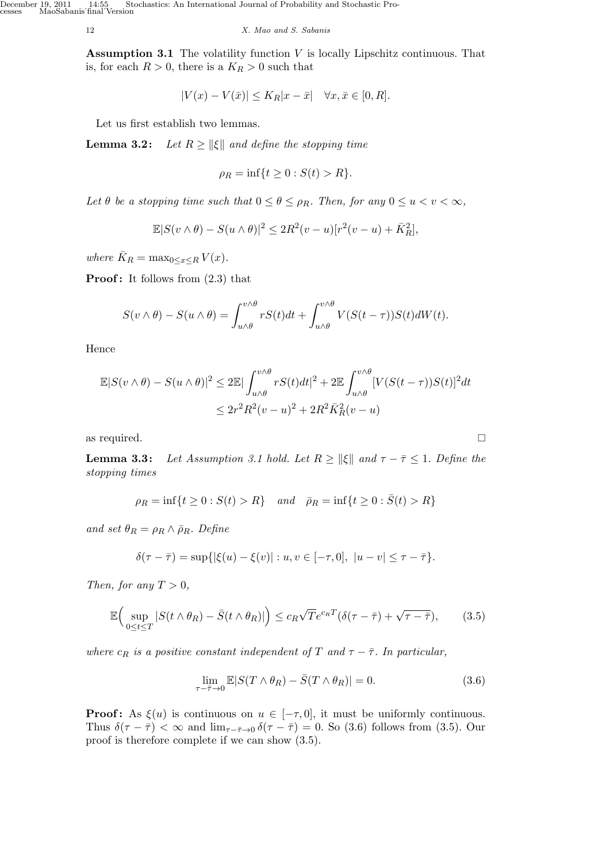December 19, 2011 14:55 Stochastics: An International Journal of Probability and Stochastic Processes MaoSabanis˙final˙Version

12 *X. Mao and S. Sabanis*

**Assumption 3.1** The volatility function *V* is locally Lipschitz continuous. That is, for each  $R > 0$ , there is a  $K_R > 0$  such that

$$
|V(x) - V(\bar{x})| \le K_R |x - \bar{x}| \quad \forall x, \bar{x} \in [0, R].
$$

Let us first establish two lemmas.

**Lemma 3.2:** *Let*  $R \ge ||\xi||$  *and define the stopping time* 

$$
\rho_R = \inf\{t \ge 0 : S(t) > R\}.
$$

*Let*  $\theta$  *be a stopping time such that*  $0 \leq \theta \leq \rho_R$ *. Then, for any*  $0 \leq u < v < \infty$ *,* 

$$
\mathbb{E}|S(v\wedge\theta)-S(u\wedge\theta)|^2\leq 2R^2(v-u)[r^2(v-u)+\bar{K}_R^2],
$$

*where*  $\bar{K}_R = \max_{0 \le x \le R} V(x)$ *.* 

**Proof:** It follows from  $(2.3)$  that

$$
S(v \wedge \theta) - S(u \wedge \theta) = \int_{u \wedge \theta}^{v \wedge \theta} rS(t)dt + \int_{u \wedge \theta}^{v \wedge \theta} V(S(t-\tau))S(t)dW(t).
$$

Hence

$$
\mathbb{E}|S(v \wedge \theta) - S(u \wedge \theta)|^2 \le 2\mathbb{E}|\int_{u \wedge \theta}^{v \wedge \theta} rS(t)dt|^2 + 2\mathbb{E}\int_{u \wedge \theta}^{v \wedge \theta} [V(S(t-\tau))S(t)]^2 dt
$$
  

$$
\le 2r^2 R^2 (v-u)^2 + 2R^2 \bar{K}_R^2 (v-u)
$$

as required.  $\Box$ 

**Lemma 3.3:** Let Assumption 3.1 hold. Let  $R \ge ||\xi||$  and  $\tau - \overline{\tau} \le 1$ . Define the *stopping times*

$$
\rho_R = \inf\{t \ge 0 : S(t) > R\}
$$
 and  $\bar{\rho}_R = \inf\{t \ge 0 : \bar{S}(t) > R\}$ 

*and set*  $\theta_R = \rho_R \wedge \overline{\rho}_R$ *. Define* 

$$
\delta(\tau-\bar{\tau})=\sup\{|\xi(u)-\xi(v)|:u,v\in[-\tau,0],\ |u-v|\le\tau-\bar{\tau}\}.
$$

*Then, for any*  $T > 0$ *,* 

$$
\mathbb{E}\Big(\sup_{0\leq t\leq T}|S(t\wedge\theta_R)-\bar{S}(t\wedge\theta_R)|\Big)\leq c_R\sqrt{T}e^{c_R T}(\delta(\tau-\bar{\tau})+\sqrt{\tau-\bar{\tau}}),\qquad(3.5)
$$

*where*  $c_R$  *is a positive constant independent of T* and  $\tau - \overline{\tau}$ *. In particular,* 

$$
\lim_{\tau - \bar{\tau} \to 0} \mathbb{E} |S(T \wedge \theta_R) - \bar{S}(T \wedge \theta_R)| = 0.
$$
\n(3.6)

**Proof:** As  $\xi(u)$  is continuous on  $u \in [-\tau, 0]$ , it must be uniformly continuous. Thus  $\delta(\tau - \bar{\tau}) < \infty$  and  $\lim_{\tau - \bar{\tau} \to 0} \delta(\tau - \bar{\tau}) = 0$ . So (3.6) follows from (3.5). Our proof is therefore complete if we can show (3.5).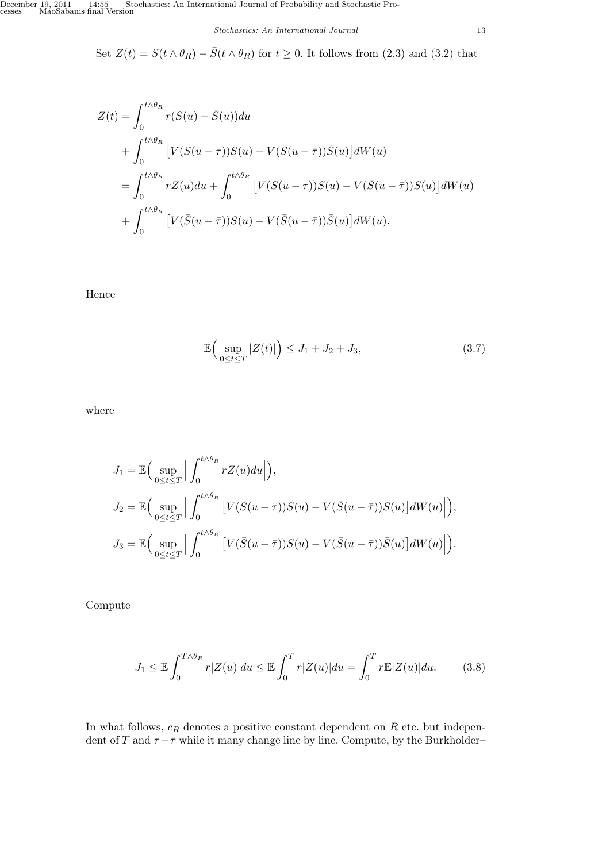Set  $Z(t) = S(t \wedge \theta_R) - \overline{S}(t \wedge \theta_R)$  for  $t \geq 0$ . It follows from (2.3) and (3.2) that

$$
Z(t) = \int_0^{t \wedge \theta_R} r(S(u) - \bar{S}(u)) du
$$
  
+ 
$$
\int_0^{t \wedge \theta_R} \left[ V(S(u - \tau))S(u) - V(\bar{S}(u - \bar{\tau}))\bar{S}(u) \right] dW(u)
$$
  
= 
$$
\int_0^{t \wedge \theta_R} rZ(u) du + \int_0^{t \wedge \theta_R} \left[ V(S(u - \tau))S(u) - V(\bar{S}(u - \bar{\tau}))S(u) \right] dW(u)
$$
  
+ 
$$
\int_0^{t \wedge \theta_R} \left[ V(\bar{S}(u - \bar{\tau}))S(u) - V(\bar{S}(u - \bar{\tau}))\bar{S}(u) \right] dW(u).
$$

Hence

$$
\mathbb{E}\Big(\sup_{0\leq t\leq T}|Z(t)|\Big)\leq J_1+J_2+J_3,\tag{3.7}
$$

where

$$
J_1 = \mathbb{E}\Big(\sup_{0 \le t \le T} \Big| \int_0^{t \wedge \theta_R} rZ(u)du \Big| \Big),
$$
  
\n
$$
J_2 = \mathbb{E}\Big(\sup_{0 \le t \le T} \Big| \int_0^{t \wedge \theta_R} \Big[ V(S(u - \tau))S(u) - V(\bar{S}(u - \bar{\tau}))S(u) \Big] dW(u) \Big| \Big),
$$
  
\n
$$
J_3 = \mathbb{E}\Big(\sup_{0 \le t \le T} \Big| \int_0^{t \wedge \theta_R} \Big[ V(\bar{S}(u - \bar{\tau}))S(u) - V(\bar{S}(u - \bar{\tau}))\bar{S}(u) \Big] dW(u) \Big| \Big).
$$

Compute

$$
J_1 \leq \mathbb{E} \int_0^{T \wedge \theta_R} r |Z(u)| du \leq \mathbb{E} \int_0^T r |Z(u)| du = \int_0^T r \mathbb{E} |Z(u)| du. \tag{3.8}
$$

In what follows, *c<sup>R</sup>* denotes a positive constant dependent on *R* etc. but independent of *T* and  $\tau - \overline{\tau}$  while it many change line by line. Compute, by the Burkholder–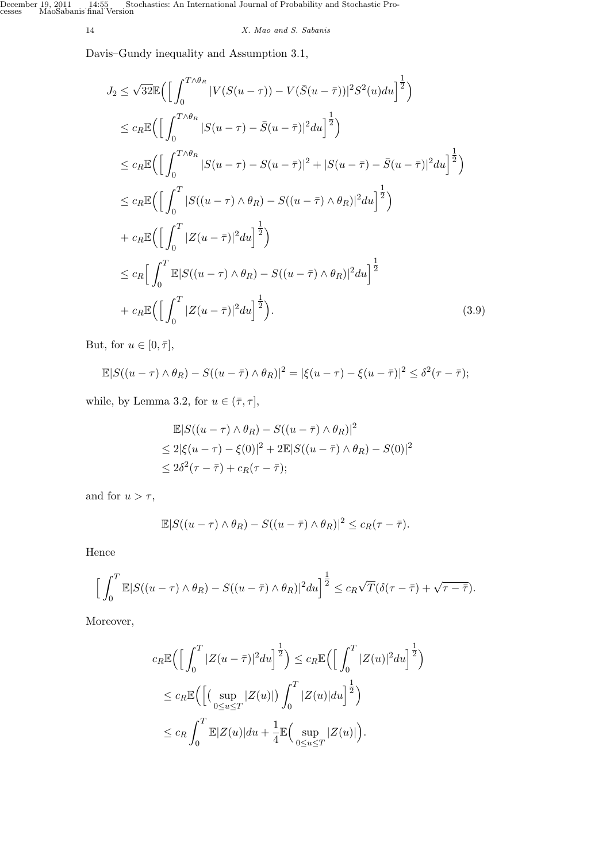14 *X. Mao and S. Sabanis*

Davis–Gundy inequality and Assumption 3.1,

$$
J_2 \leq \sqrt{32} \mathbb{E} \Biggl( \Biggl[ \int_0^{T \wedge \theta_R} |V(S(u-\tau)) - V(\bar{S}(u-\bar{\tau}))|^2 S^2(u) du \Biggr]^{\frac{1}{2}} \Biggr)
$$
  
\n
$$
\leq c_R \mathbb{E} \Biggl( \Biggl[ \int_0^{T \wedge \theta_R} |S(u-\tau) - \bar{S}(u-\bar{\tau})|^2 du \Biggr]^{\frac{1}{2}} \Biggr)
$$
  
\n
$$
\leq c_R \mathbb{E} \Biggl( \Biggl[ \int_0^{T \wedge \theta_R} |S(u-\tau) - S(u-\bar{\tau})|^2 + |S(u-\bar{\tau}) - \bar{S}(u-\bar{\tau})|^2 du \Biggr]^{\frac{1}{2}} \Biggr)
$$
  
\n
$$
\leq c_R \mathbb{E} \Biggl( \Biggl[ \int_0^{T} |S((u-\tau) \wedge \theta_R) - S((u-\bar{\tau}) \wedge \theta_R)|^2 du \Biggr]^{\frac{1}{2}} \Biggr)
$$
  
\n
$$
+ c_R \mathbb{E} \Biggl( \Biggl[ \int_0^{T} |Z(u-\bar{\tau})|^2 du \Biggr]^{\frac{1}{2}} \Biggr)
$$
  
\n
$$
\leq c_R \Biggl[ \int_0^{T} \mathbb{E} |S((u-\tau) \wedge \theta_R) - S((u-\bar{\tau}) \wedge \theta_R)|^2 du \Biggr]^{\frac{1}{2}}
$$
  
\n
$$
+ c_R \mathbb{E} \Biggl( \Biggl[ \int_0^{T} |Z(u-\bar{\tau})|^2 du \Biggr]^{\frac{1}{2}} \Biggr).
$$
  
\n(3.9)

But, for  $u \in [0, \bar{\tau}],$ 

$$
\mathbb{E}|S((u-\tau)\wedge\theta_R)-S((u-\bar{\tau})\wedge\theta_R)|^2=|\xi(u-\tau)-\xi(u-\bar{\tau})|^2\leq\delta^2(\tau-\bar{\tau});
$$

while, by Lemma 3.2, for  $u \in (\bar{\tau}, \tau],$ 

$$
\mathbb{E}|S((u-\tau)\wedge\theta_R) - S((u-\bar{\tau})\wedge\theta_R)|^2
$$
  
\n
$$
\leq 2|\xi(u-\tau) - \xi(0)|^2 + 2\mathbb{E}|S((u-\bar{\tau})\wedge\theta_R) - S(0)|^2
$$
  
\n
$$
\leq 2\delta^2(\tau-\bar{\tau}) + c_R(\tau-\bar{\tau});
$$

and for  $u > \tau$ ,

$$
\mathbb{E}|S((u-\tau)\wedge\theta_R)-S((u-\overline{\tau})\wedge\theta_R)|^2\leq c_R(\tau-\overline{\tau}).
$$

Hence

$$
\left[\int_0^T \mathbb{E}|S((u-\tau)\wedge\theta_R)-S((u-\bar{\tau})\wedge\theta_R)|^2 du\right]^{\frac{1}{2}} \leq c_R \sqrt{T}(\delta(\tau-\bar{\tau})+\sqrt{\tau-\bar{\tau}}).
$$

Moreover,

$$
c_R \mathbb{E}\Big(\Big[\int_0^T |Z(u-\bar{\tau})|^2 du\Big]^{\frac{1}{2}}\Big) \leq c_R \mathbb{E}\Big(\Big[\int_0^T |Z(u)|^2 du\Big]^{\frac{1}{2}}\Big)
$$
  

$$
\leq c_R \mathbb{E}\Big(\Big[\big(\sup_{0\leq u\leq T} |Z(u)|\big)\int_0^T |Z(u)| du\Big]^{\frac{1}{2}}\Big)
$$
  

$$
\leq c_R \int_0^T \mathbb{E}|Z(u)| du + \frac{1}{4} \mathbb{E}\Big(\sup_{0\leq u\leq T} |Z(u)|\Big).
$$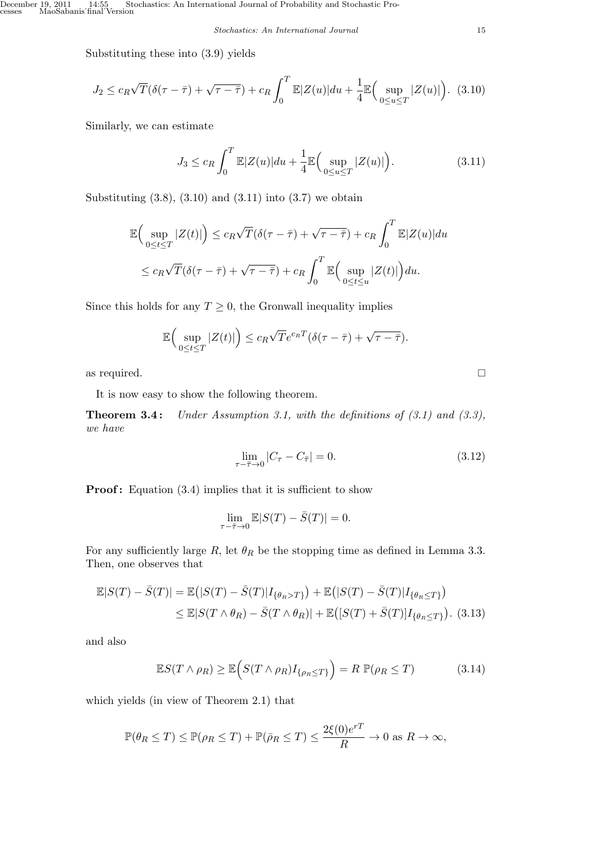*Stochastics: An International Journal* 15

Substituting these into (3.9) yields

$$
J_2 \le c_R \sqrt{T}(\delta(\tau - \bar{\tau}) + \sqrt{\tau - \bar{\tau}}) + c_R \int_0^T \mathbb{E}|Z(u)|du + \frac{1}{4} \mathbb{E}\Big(\sup_{0 \le u \le T} |Z(u)|\Big). \tag{3.10}
$$

Similarly, we can estimate

$$
J_3 \le c_R \int_0^T \mathbb{E}|Z(u)|du + \frac{1}{4} \mathbb{E}\Big(\sup_{0 \le u \le T} |Z(u)|\Big). \tag{3.11}
$$

Substituting  $(3.8)$ ,  $(3.10)$  and  $(3.11)$  into  $(3.7)$  we obtain

$$
\mathbb{E}\Big(\sup_{0\leq t\leq T}|Z(t)|\Big)\leq c_R\sqrt{T}(\delta(\tau-\bar{\tau})+\sqrt{\tau-\bar{\tau}})+c_R\int_0^T\mathbb{E}|Z(u)|du
$$
  

$$
\leq c_R\sqrt{T}(\delta(\tau-\bar{\tau})+\sqrt{\tau-\bar{\tau}})+c_R\int_0^T\mathbb{E}\Big(\sup_{0\leq t\leq u}|Z(t)|\Big)du.
$$

Since this holds for any  $T \geq 0$ , the Gronwall inequality implies

$$
\mathbb{E}\Big(\sup_{0\leq t\leq T}|Z(t)|\Big)\leq c_R\sqrt{T}e^{c_R T}(\delta(\tau-\bar{\tau})+\sqrt{\tau-\bar{\tau}}).
$$

as required.

It is now easy to show the following theorem.

**Theorem 3.4 :** *Under Assumption 3.1, with the definitions of (3.1) and (3.3), we have*

$$
\lim_{\tau - \bar{\tau} \to 0} |C_{\tau} - C_{\bar{\tau}}| = 0.
$$
\n(3.12)

**Proof:** Equation (3.4) implies that it is sufficient to show

$$
\lim_{\tau - \bar{\tau} \to 0} \mathbb{E} |S(T) - \bar{S}(T)| = 0.
$$

For any sufficiently large  $R$ , let  $\theta_R$  be the stopping time as defined in Lemma 3.3. Then, one observes that

$$
\mathbb{E}|S(T) - \bar{S}(T)| = \mathbb{E}(|S(T) - \bar{S}(T)|I_{\{\theta_R > T\}}) + \mathbb{E}(|S(T) - \bar{S}(T)|I_{\{\theta_R \le T\}})
$$
  
\n
$$
\le \mathbb{E}|S(T \wedge \theta_R) - \bar{S}(T \wedge \theta_R)| + \mathbb{E}([S(T) + \bar{S}(T)]I_{\{\theta_R \le T\}}).
$$
 (3.13)

and also

$$
\mathbb{E}S(T \wedge \rho_R) \ge \mathbb{E}\Big(S(T \wedge \rho_R)I_{\{\rho_R \le T\}}\Big) = R \mathbb{P}(\rho_R \le T) \tag{3.14}
$$

which yields (in view of Theorem 2.1) that

$$
\mathbb{P}(\theta_R \le T) \le \mathbb{P}(\rho_R \le T) + \mathbb{P}(\bar{\rho}_R \le T) \le \frac{2\xi(0)e^{rT}}{R} \to 0 \text{ as } R \to \infty,
$$

$$
\Box
$$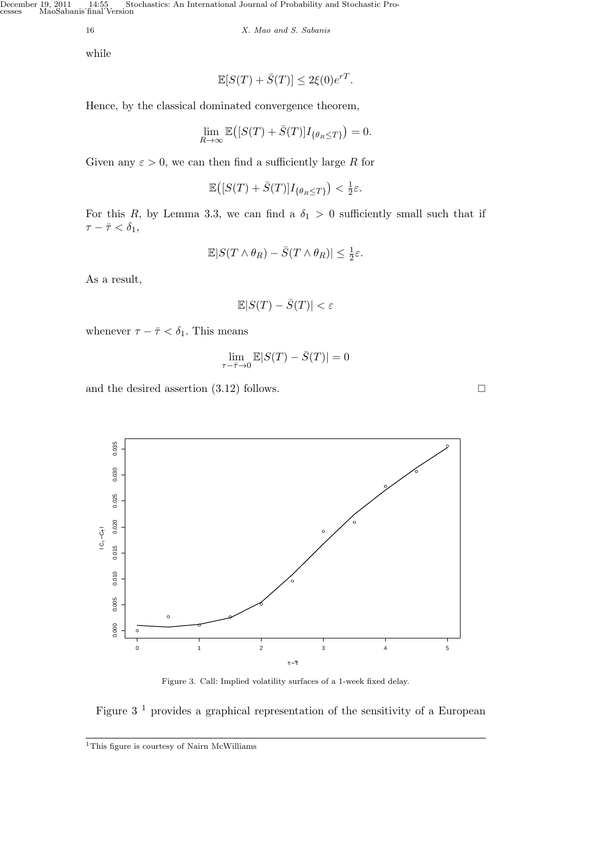December 19, 2011 14:55, Stochastics: An International Journal of Probability and Stochastic Processes MaoSabanis˙final˙Version

16 *X. Mao and S. Sabanis*

while

$$
\mathbb{E}[S(T) + \bar{S}(T)] \le 2\xi(0)e^{rT}.
$$

Hence, by the classical dominated convergence theorem,

$$
\lim_{R \to \infty} \mathbb{E}\big( [S(T) + \bar{S}(T)] I_{\{\theta_R \le T\}} \big) = 0.
$$

Given any  $\varepsilon > 0$ , we can then find a sufficiently large R for

$$
\mathbb{E}\big( [S(T) + \bar{S}(T)] I_{\{\theta_R \le T\}} \big) < \frac{1}{2}\varepsilon.
$$

For this *R*, by Lemma 3.3, we can find a  $\delta_1 > 0$  sufficiently small such that if  $\tau - \bar{\tau} < \delta_1$ ,

$$
\mathbb{E} |S(T\wedge \theta_R) - \bar{S}(T\wedge \theta_R)| \leq \tfrac{1}{2}\varepsilon.
$$

As a result,

$$
\mathbb{E} |S(T) - \bar{S}(T)| < \varepsilon
$$

whenever  $\tau - \bar{\tau} < \delta_1$ . This means

$$
\lim_{\tau - \bar{\tau} \to 0} \mathbb{E} |S(T) - \bar{S}(T)| = 0
$$

and the desired assertion  $(3.12)$  follows.



Figure 3. Call: Implied volatility surfaces of a 1-week fixed delay.

# Figure  $3<sup>1</sup>$  provides a graphical representation of the sensitivity of a European

<sup>1</sup>This figure is courtesy of Nairn McWilliams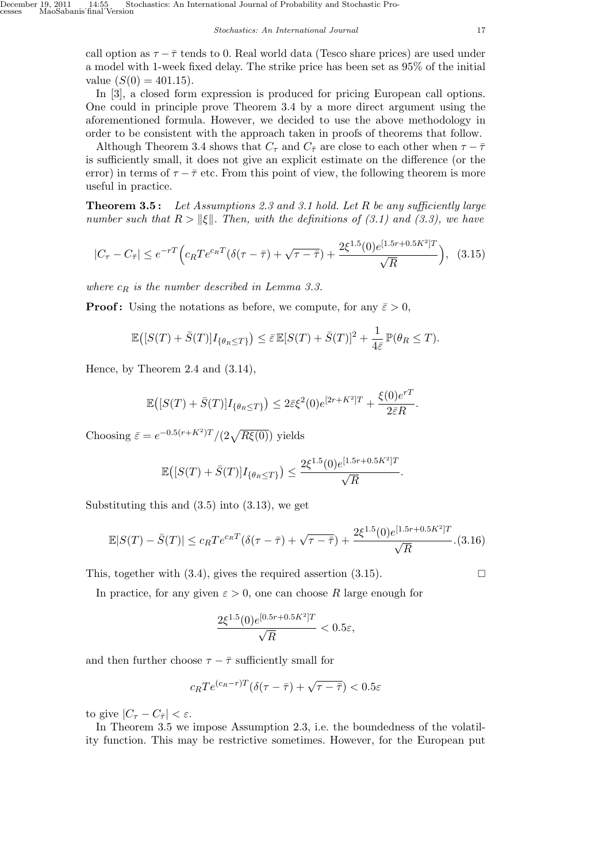call option as  $\tau - \bar{\tau}$  tends to 0. Real world data (Tesco share prices) are used under a model with 1-week fixed delay. The strike price has been set as 95% of the initial value  $(S(0) = 401.15)$ .

In [3], a closed form expression is produced for pricing European call options. One could in principle prove Theorem 3.4 by a more direct argument using the aforementioned formula. However, we decided to use the above methodology in order to be consistent with the approach taken in proofs of theorems that follow.

Although Theorem 3.4 shows that  $C_{\tau}$  and  $C_{\bar{\tau}}$  are close to each other when  $\tau - \bar{\tau}$ is sufficiently small, it does not give an explicit estimate on the difference (or the error) in terms of  $\tau - \bar{\tau}$  etc. From this point of view, the following theorem is more useful in practice.

**Theorem 3.5 :** *Let Assumptions 2.3 and 3.1 hold. Let R be any sufficiently large number such that*  $R > \|\xi\|$ . Then, with the definitions of (3.1) and (3.3), we have

$$
|C_{\tau} - C_{\bar{\tau}}| \le e^{-rT} \Big( c_R T e^{c_R T} (\delta(\tau - \bar{\tau}) + \sqrt{\tau - \bar{\tau}}) + \frac{2 \xi^{1.5}(0) e^{[1.5r + 0.5K^2]T}}{\sqrt{R}} \Big), \quad (3.15)
$$

*where c<sup>R</sup> is the number described in Lemma 3.3.*

**Proof:** Using the notations as before, we compute, for any  $\bar{\varepsilon} > 0$ ,

$$
\mathbb{E}\big( [S(T) + \bar{S}(T)] I_{\{\theta_R \le T\}} \big) \le \bar{\varepsilon} \mathbb{E}[S(T) + \bar{S}(T)]^2 + \frac{1}{4\bar{\varepsilon}} \mathbb{P}(\theta_R \le T).
$$

Hence, by Theorem 2.4 and (3.14),

$$
\mathbb{E}\big( [S(T) + \bar{S}(T)] I_{\{\theta_R \le T\}} \big) \le 2\bar{\varepsilon}\xi^2(0) e^{[2r + K^2]T} + \frac{\xi(0)e^{rT}}{2\bar{\varepsilon}R}.
$$

Choosing  $\bar{\varepsilon} = e^{-0.5(r+K^2)T}/(2\sqrt{R\xi(0)})$  yields

$$
\mathbb{E}\big( [S(T) + \bar{S}(T)] I_{\{\theta_R \le T\}} \big) \le \frac{2\xi^{1.5}(0)e^{[1.5r + 0.5K^2]T}}{\sqrt{R}}.
$$

Substituting this and  $(3.5)$  into  $(3.13)$ , we get

$$
\mathbb{E}|S(T) - \bar{S}(T)| \le c_R T e^{c_R T} (\delta(\tau - \bar{\tau}) + \sqrt{\tau - \bar{\tau}}) + \frac{2\xi^{1.5}(0)e^{[1.5r + 0.5K^2]T}}{\sqrt{R}}.(3.16)
$$

This, together with  $(3.4)$ , gives the required assertion  $(3.15)$ .

In practice, for any given  $\varepsilon > 0$ , one can choose R large enough for

$$
\frac{2\xi^{1.5}(0)e^{[0.5r+0.5K^2]T}}{\sqrt{R}} < 0.5\varepsilon,
$$

and then further choose  $\tau - \bar{\tau}$  sufficiently small for

$$
c_R T e^{(c_R - r)T} (\delta(\tau - \bar{\tau}) + \sqrt{\tau - \bar{\tau}}) < 0.5\varepsilon
$$

to give  $|C_{\tau} - C_{\bar{\tau}}| < \varepsilon$ .

In Theorem 3.5 we impose Assumption 2.3, i.e. the boundedness of the volatility function. This may be restrictive sometimes. However, for the European put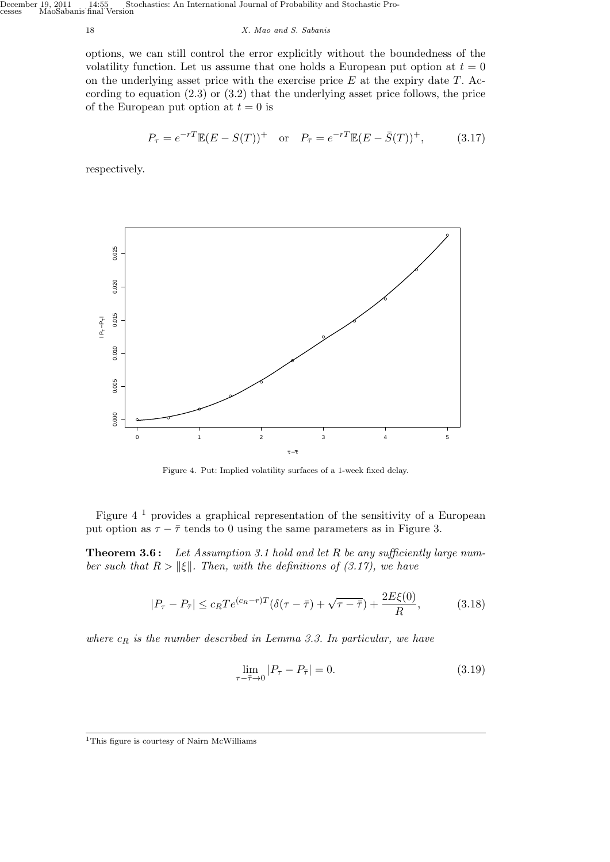18 *X. Mao and S. Sabanis*

options, we can still control the error explicitly without the boundedness of the volatility function. Let us assume that one holds a European put option at  $t = 0$ on the underlying asset price with the exercise price *E* at the expiry date *T*. According to equation (2.3) or (3.2) that the underlying asset price follows, the price of the European put option at  $t = 0$  is

$$
P_{\tau} = e^{-rT} \mathbb{E}(E - S(T))^+ \quad \text{or} \quad P_{\bar{\tau}} = e^{-rT} \mathbb{E}(E - \bar{S}(T))^+, \tag{3.17}
$$

respectively.



Figure 4. Put: Implied volatility surfaces of a 1-week fixed delay.

Figure 4 <sup>1</sup> provides a graphical representation of the sensitivity of a European put option as  $\tau - \bar{\tau}$  tends to 0 using the same parameters as in Figure 3.

**Theorem 3.6 :** *Let Assumption 3.1 hold and let R be any sufficiently large number such that*  $R > \|\xi\|$ *. Then, with the definitions of (3.17), we have* 

$$
|P_{\tau} - P_{\bar{\tau}}| \le c_R T e^{(c_R - r)T} (\delta(\tau - \bar{\tau}) + \sqrt{\tau - \bar{\tau}}) + \frac{2E\xi(0)}{R},
$$
(3.18)

*where c<sup>R</sup> is the number described in Lemma 3.3. In particular, we have*

$$
\lim_{\tau - \bar{\tau} \to 0} |P_{\tau} - P_{\bar{\tau}}| = 0. \tag{3.19}
$$

<sup>1</sup>This figure is courtesy of Nairn McWilliams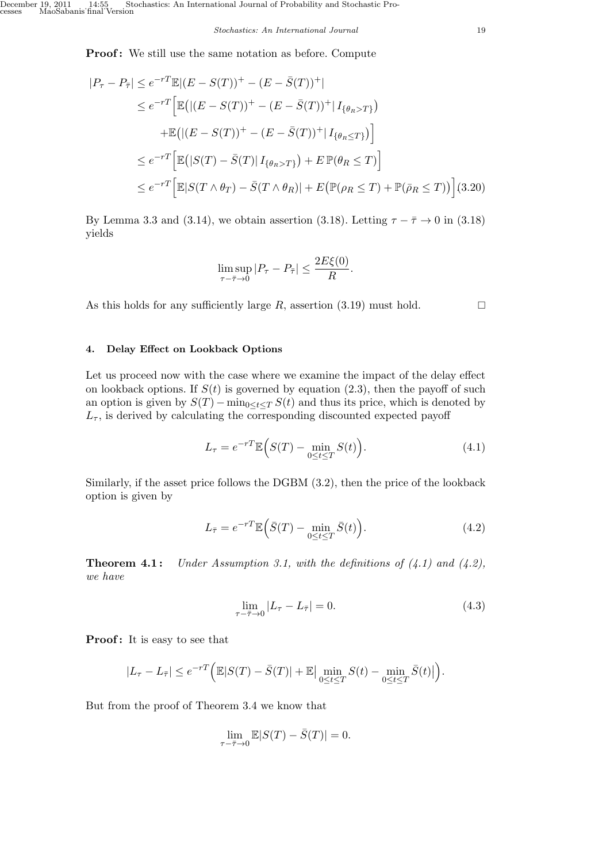**Proof:** We still use the same notation as before. Compute

$$
|P_{\tau} - P_{\bar{\tau}}| \leq e^{-rT} \mathbb{E} |(E - S(T))^{+} - (E - \bar{S}(T))^{+}|
$$
  
\n
$$
\leq e^{-rT} \Big[ \mathbb{E} \big( |(E - S(T))^{+} - (E - \bar{S}(T))^{+} | I_{\{\theta_R > T\}} \big) \Big]
$$
  
\n
$$
+ \mathbb{E} \big( |(E - S(T))^{+} - (E - \bar{S}(T))^{+} | I_{\{\theta_R \leq T\}} \big) \Big]
$$
  
\n
$$
\leq e^{-rT} \Big[ \mathbb{E} \big( |S(T) - \bar{S}(T)| I_{\{\theta_R > T\}} \big) + E \mathbb{P}(\theta_R \leq T) \Big]
$$
  
\n
$$
\leq e^{-rT} \Big[ \mathbb{E} |S(T \wedge \theta_T) - \bar{S}(T \wedge \theta_R)| + E \big( \mathbb{P}(\rho_R \leq T) + \mathbb{P}(\bar{\rho}_R \leq T) \big) \Big] (3.20)
$$

By Lemma 3.3 and (3.14), we obtain assertion (3.18). Letting  $\tau - \overline{\tau} \rightarrow 0$  in (3.18) yields

$$
\limsup_{\tau-\bar{\tau}\to 0} |P_{\tau}-P_{\bar{\tau}}| \le \frac{2E\xi(0)}{R}.
$$

As this holds for any sufficiently large  $R$ , assertion (3.19) must hold.  $\square$ 

## **4. Delay Effect on Lookback Options**

Let us proceed now with the case where we examine the impact of the delay effect on lookback options. If  $S(t)$  is governed by equation  $(2.3)$ , then the payoff of such an option is given by  $S(T) - \min_{0 \le t \le T} S(t)$  and thus its price, which is denoted by  $L_{\tau}$ , is derived by calculating the corresponding discounted expected payoff

$$
L_{\tau} = e^{-rT} \mathbb{E}\Big(S(T) - \min_{0 \le t \le T} S(t)\Big). \tag{4.1}
$$

Similarly, if the asset price follows the DGBM (3.2), then the price of the lookback option is given by

$$
L_{\bar{\tau}} = e^{-rT} \mathbb{E} \left( \bar{S}(T) - \min_{0 \le t \le T} \bar{S}(t) \right). \tag{4.2}
$$

**Theorem 4.1 :** *Under Assumption 3.1, with the definitions of (4.1) and (4.2), we have*

$$
\lim_{\tau - \bar{\tau} \to 0} |L_{\tau} - L_{\bar{\tau}}| = 0.
$$
\n(4.3)

**Proof:** It is easy to see that

$$
|L_{\tau}-L_{\bar{\tau}}| \leq e^{-rT} \Big( \mathbb{E}|S(T)-\bar{S}(T)|+\mathbb{E} \Big| \min_{0 \leq t \leq T} S(t) - \min_{0 \leq t \leq T} \bar{S}(t) \Big| \Big).
$$

But from the proof of Theorem 3.4 we know that

$$
\lim_{\tau - \bar{\tau} \to 0} \mathbb{E} |S(T) - \bar{S}(T)| = 0.
$$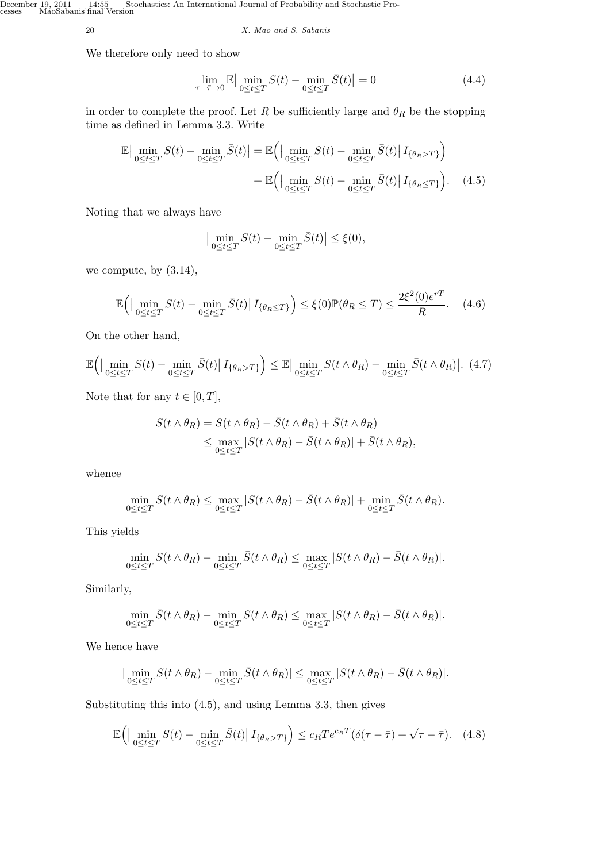20 *X. Mao and S. Sabanis*

We therefore only need to show

$$
\lim_{\tau - \bar{\tau} \to 0} \mathbb{E} \Big| \min_{0 \le t \le T} S(t) - \min_{0 \le t \le T} \bar{S}(t) \Big| = 0 \tag{4.4}
$$

in order to complete the proof. Let *R* be sufficiently large and  $\theta_R$  be the stopping time as defined in Lemma 3.3. Write

$$
\mathbb{E}\left|\min_{0\leq t\leq T} S(t) - \min_{0\leq t\leq T} \bar{S}(t)\right| = \mathbb{E}\left(\left|\min_{0\leq t\leq T} S(t) - \min_{0\leq t\leq T} \bar{S}(t)\right| I_{\{\theta_R > T\}}\right) + \mathbb{E}\left(\left|\min_{0\leq t\leq T} S(t) - \min_{0\leq t\leq T} \bar{S}(t)\right| I_{\{\theta_R \leq T\}}\right). \tag{4.5}
$$

Noting that we always have

$$
\left|\min_{0\leq t\leq T} S(t) - \min_{0\leq t\leq T} \bar{S}(t)\right| \leq \xi(0),
$$

we compute, by (3.14),

$$
\mathbb{E}\Big(\Big|\min_{0\leq t\leq T} S(t) - \min_{0\leq t\leq T} \bar{S}(t)\Big| \, I_{\{\theta_R \leq T\}}\Big) \leq \xi(0)\mathbb{P}(\theta_R \leq T) \leq \frac{2\xi^2(0)e^{rT}}{R}.\tag{4.6}
$$

On the other hand,

$$
\mathbb{E}\Big(\Big|\min_{0\leq t\leq T} S(t) - \min_{0\leq t\leq T} \bar{S}(t)\Big| I_{\{\theta_R>T\}}\Big) \leq \mathbb{E}\Big|\min_{0\leq t\leq T} S(t\wedge \theta_R) - \min_{0\leq t\leq T} \bar{S}(t\wedge \theta_R)\Big|.\tag{4.7}
$$

Note that for any  $t \in [0, T]$ ,

$$
S(t \wedge \theta_R) = S(t \wedge \theta_R) - \bar{S}(t \wedge \theta_R) + \bar{S}(t \wedge \theta_R)
$$
  
\$\leq\$ 
$$
\max_{0 \leq t \leq T} |S(t \wedge \theta_R) - \bar{S}(t \wedge \theta_R)| + \bar{S}(t \wedge \theta_R),
$$

whence

$$
\min_{0 \leq t \leq T} S(t \wedge \theta_R) \leq \max_{0 \leq t \leq T} |S(t \wedge \theta_R) - \bar{S}(t \wedge \theta_R)| + \min_{0 \leq t \leq T} \bar{S}(t \wedge \theta_R).
$$

This yields

$$
\min_{0 \leq t \leq T} S(t \wedge \theta_R) - \min_{0 \leq t \leq T} \bar{S}(t \wedge \theta_R) \leq \max_{0 \leq t \leq T} |S(t \wedge \theta_R) - \bar{S}(t \wedge \theta_R)|.
$$

Similarly,

$$
\min_{0\leq t\leq T} \bar{S}(t\wedge \theta_R)-\min_{0\leq t\leq T} S(t\wedge \theta_R)\leq \max_{0\leq t\leq T} |S(t\wedge \theta_R)-\bar{S}(t\wedge \theta_R)|.
$$

We hence have

$$
|\min_{0\leq t\leq T} S(t\wedge \theta_R)-\min_{0\leq t\leq T} \bar{S}(t\wedge \theta_R)|\leq \max_{0\leq t\leq T}|S(t\wedge \theta_R)-\bar{S}(t\wedge \theta_R)|.
$$

Substituting this into (4.5), and using Lemma 3.3, then gives

$$
\mathbb{E}\Big(\Big|\min_{0\leq t\leq T} S(t) - \min_{0\leq t\leq T} \bar{S}(t)\Big| \, I_{\{\theta_R>T\}}\Big) \leq c_R T e^{c_R T} (\delta(\tau - \bar{\tau}) + \sqrt{\tau - \bar{\tau}}). \tag{4.8}
$$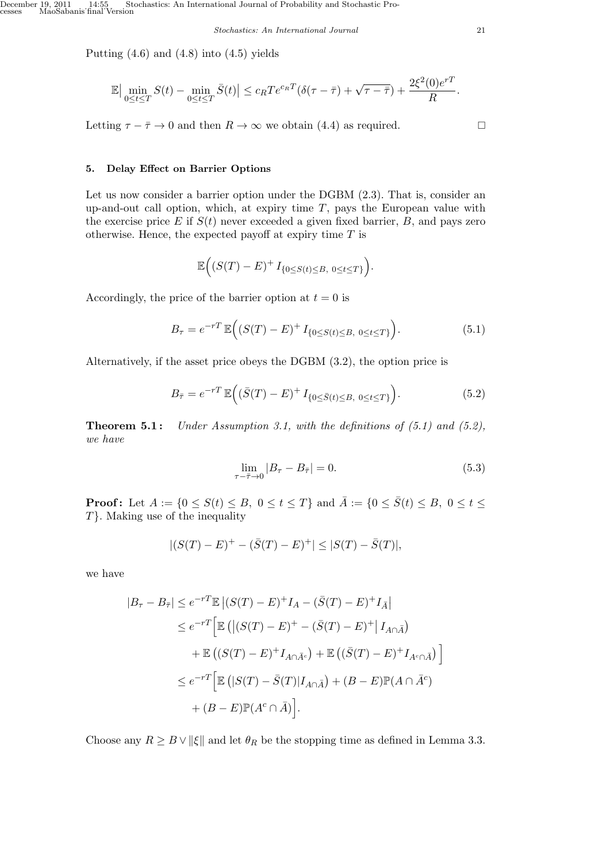*Stochastics: An International Journal* 21

Putting  $(4.6)$  and  $(4.8)$  into  $(4.5)$  yields

$$
\mathbb{E}\left|\min_{0\leq t\leq T} S(t) - \min_{0\leq t\leq T} \bar{S}(t)\right| \leq c_R T e^{c_R T} \left(\delta(\tau-\bar{\tau}) + \sqrt{\tau-\bar{\tau}}\right) + \frac{2\xi^2(0)e^{rT}}{R}.
$$

Letting  $\tau - \overline{\tau} \to 0$  and then  $R \to \infty$  we obtain (4.4) as required.

**5. Delay Effect on Barrier Options**

Let us now consider a barrier option under the DGBM (2.3). That is, consider an up-and-out call option, which, at expiry time *T*, pays the European value with the exercise price  $E$  if  $S(t)$  never exceeded a given fixed barrier,  $B$ , and pays zero otherwise. Hence, the expected payoff at expiry time *T* is

$$
\mathbb{E}\Big((S(T)-E)^{+}I_{\{0\leq S(t)\leq B,\ 0\leq t\leq T\}}\Big).
$$

Accordingly, the price of the barrier option at  $t = 0$  is

$$
B_{\tau} = e^{-rT} \mathbb{E}\Big( (S(T) - E)^+ I_{\{0 \le S(t) \le B, \ 0 \le t \le T\}} \Big). \tag{5.1}
$$

Alternatively, if the asset price obeys the DGBM (3.2), the option price is

$$
B_{\bar{\tau}} = e^{-rT} \mathbb{E}\Big( (\bar{S}(T) - E)^+ I_{\{0 \le \bar{S}(t) \le B, 0 \le t \le T\}} \Big). \tag{5.2}
$$

**Theorem 5.1 :** *Under Assumption 3.1, with the definitions of (5.1) and (5.2), we have*

$$
\lim_{\tau - \bar{\tau} \to 0} |B_{\tau} - B_{\bar{\tau}}| = 0. \tag{5.3}
$$

**Proof:** Let  $A := \{0 \le S(t) \le B, 0 \le t \le T\}$  and  $\overline{A} := \{0 \le \overline{S}(t) \le B, 0 \le t \le T\}$ *T}*. Making use of the inequality

$$
|(S(T) - E)^+ - (\bar{S}(T) - E)^+| \le |S(T) - \bar{S}(T)|,
$$

we have

$$
|B_{\tau} - B_{\bar{\tau}}| \leq e^{-rT} \mathbb{E} |(S(T) - E)^{+} I_{A} - (\bar{S}(T) - E)^{+} I_{\bar{A}}|
$$
  
\n
$$
\leq e^{-rT} \Big[ \mathbb{E} \left( |(S(T) - E)^{+} - (\bar{S}(T) - E)^{+} | I_{A \cap \bar{A}} \right)
$$
  
\n
$$
+ \mathbb{E} \left( (S(T) - E)^{+} I_{A \cap \bar{A}^{c}} \right) + \mathbb{E} \left( (\bar{S}(T) - E)^{+} I_{A^{c} \cap \bar{A}} \right) \Big]
$$
  
\n
$$
\leq e^{-rT} \Big[ \mathbb{E} \left( |S(T) - \bar{S}(T)| I_{A \cap \bar{A}} \right) + (B - E) \mathbb{P} (A \cap \bar{A}^{c})
$$
  
\n
$$
+ (B - E) \mathbb{P} (A^{c} \cap \bar{A}) \Big].
$$

Choose any  $R \geq B \vee ||\xi||$  and let  $\theta_R$  be the stopping time as defined in Lemma 3.3.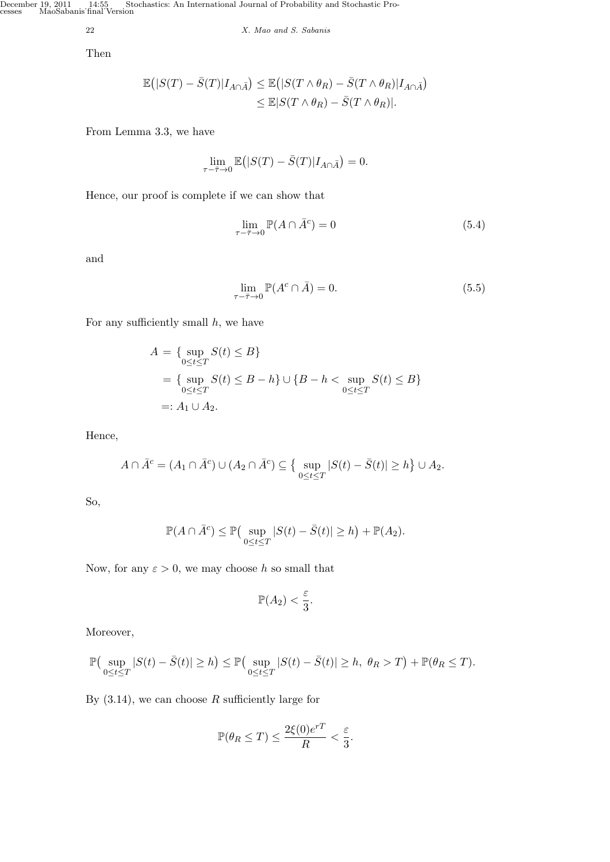December 19, 2011 14:55 Stochastics: An International Journal of Probability and Stochastic Processes MaoSabanis˙final˙Version

22 *X. Mao and S. Sabanis*

Then

$$
\mathbb{E}(|S(T) - \bar{S}(T)|I_{A \cap \bar{A}}) \leq \mathbb{E}(|S(T \wedge \theta_R) - \bar{S}(T \wedge \theta_R)|I_{A \cap \bar{A}})
$$
  

$$
\leq \mathbb{E}|S(T \wedge \theta_R) - \bar{S}(T \wedge \theta_R)|.
$$

From Lemma 3.3, we have

$$
\lim_{\tau-\bar{\tau}\to 0}\mathbb{E}\big(|S(T)-\bar{S}(T)|I_{A\cap\bar{A}}\big)=0.
$$

Hence, our proof is complete if we can show that

$$
\lim_{\tau - \bar{\tau} \to 0} \mathbb{P}(A \cap \bar{A}^c) = 0 \tag{5.4}
$$

and

$$
\lim_{\tau \to \bar{\tau} \to 0} \mathbb{P}(A^c \cap \bar{A}) = 0.
$$
\n(5.5)

For any sufficiently small *h*, we have

$$
A = \{ \sup_{0 \le t \le T} S(t) \le B \}
$$
  
=  $\{ \sup_{0 \le t \le T} S(t) \le B - h \} \cup \{ B - h < \sup_{0 \le t \le T} S(t) \le B \}$   
=:  $A_1 \cup A_2$ .

Hence,

$$
A \cap \overline{A}^c = (A_1 \cap \overline{A}^c) \cup (A_2 \cap \overline{A}^c) \subseteq \left\{ \sup_{0 \le t \le T} |S(t) - \overline{S}(t)| \ge h \right\} \cup A_2.
$$

So,

$$
\mathbb{P}(A \cap \bar{A}^c) \leq \mathbb{P}\left(\sup_{0 \leq t \leq T} |S(t) - \bar{S}(t)| \geq h\right) + \mathbb{P}(A_2).
$$

Now, for any  $\varepsilon > 0$ , we may choose *h* so small that

$$
\mathbb{P}(A_2) < \frac{\varepsilon}{3}.
$$

Moreover,

$$
\mathbb{P}\left(\sup_{0\leq t\leq T}|S(t)-\bar{S}(t)|\geq h\right)\leq \mathbb{P}\left(\sup_{0\leq t\leq T}|S(t)-\bar{S}(t)|\geq h,\ \theta_R>T\right)+\mathbb{P}(\theta_R\leq T).
$$

By  $(3.14)$ , we can choose *R* sufficiently large for

$$
\mathbb{P}(\theta_R \leq T) \leq \frac{2\xi(0)e^{rT}}{R} < \frac{\varepsilon}{3}.
$$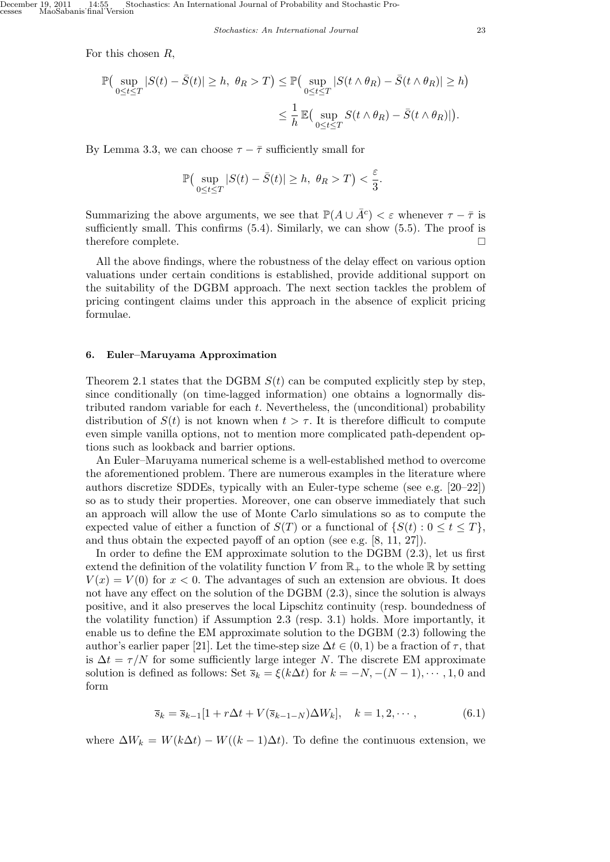For this chosen *R*,

$$
\mathbb{P}\left(\sup_{0\leq t\leq T}|S(t)-\bar{S}(t)|\geq h,\ \theta_R>T\right)\leq \mathbb{P}\left(\sup_{0\leq t\leq T}|S(t\wedge\theta_R)-\bar{S}(t\wedge\theta_R)|\geq h\right)
$$

$$
\leq \frac{1}{h}\mathbb{E}\left(\sup_{0\leq t\leq T}S(t\wedge\theta_R)-\bar{S}(t\wedge\theta_R)|\right).
$$

By Lemma 3.3, we can choose  $\tau - \bar{\tau}$  sufficiently small for

$$
\mathbb{P}\left(\sup_{0\leq t\leq T}|S(t)-\bar{S}(t)|\geq h,\ \theta_R>T\right)<\frac{\varepsilon}{3}.
$$

Summarizing the above arguments, we see that  $\mathbb{P}(A \cup \overline{A}^c) < \varepsilon$  whenever  $\tau - \overline{\tau}$  is sufficiently small. This confirms  $(5.4)$ . Similarly, we can show  $(5.5)$ . The proof is therefore complete.

All the above findings, where the robustness of the delay effect on various option valuations under certain conditions is established, provide additional support on the suitability of the DGBM approach. The next section tackles the problem of pricing contingent claims under this approach in the absence of explicit pricing formulae.

#### **6. Euler–Maruyama Approximation**

Theorem 2.1 states that the DGBM  $S(t)$  can be computed explicitly step by step, since conditionally (on time-lagged information) one obtains a lognormally distributed random variable for each *t*. Nevertheless, the (unconditional) probability distribution of  $S(t)$  is not known when  $t > \tau$ . It is therefore difficult to compute even simple vanilla options, not to mention more complicated path-dependent options such as lookback and barrier options.

An Euler–Maruyama numerical scheme is a well-established method to overcome the aforementioned problem. There are numerous examples in the literature where authors discretize SDDEs, typically with an Euler-type scheme (see e.g. [20–22]) so as to study their properties. Moreover, one can observe immediately that such an approach will allow the use of Monte Carlo simulations so as to compute the expected value of either a function of  $S(T)$  or a functional of  $\{S(t): 0 \le t \le T\}$ , and thus obtain the expected payoff of an option (see e.g. [8, 11, 27]).

In order to define the EM approximate solution to the DGBM (2.3), let us first extend the definition of the volatility function *V* from  $\mathbb{R}_+$  to the whole  $\mathbb R$  by setting  $V(x) = V(0)$  for  $x < 0$ . The advantages of such an extension are obvious. It does not have any effect on the solution of the DGBM (2.3), since the solution is always positive, and it also preserves the local Lipschitz continuity (resp. boundedness of the volatility function) if Assumption 2.3 (resp. 3.1) holds. More importantly, it enable us to define the EM approximate solution to the DGBM (2.3) following the author's earlier paper [21]. Let the time-step size  $\Delta t \in (0,1)$  be a fraction of  $\tau$ , that is  $\Delta t = \tau/N$  for some sufficiently large integer *N*. The discrete EM approximate solution is defined as follows: Set  $\overline{s}_k = \xi(k\Delta t)$  for  $k = -N, -(N-1), \dots, 1, 0$  and form

$$
\overline{s}_k = \overline{s}_{k-1}[1 + r\Delta t + V(\overline{s}_{k-1-N})\Delta W_k], \quad k = 1, 2, \cdots,
$$
\n(6.1)

where  $\Delta W_k = W(k\Delta t) - W((k-1)\Delta t)$ . To define the continuous extension, we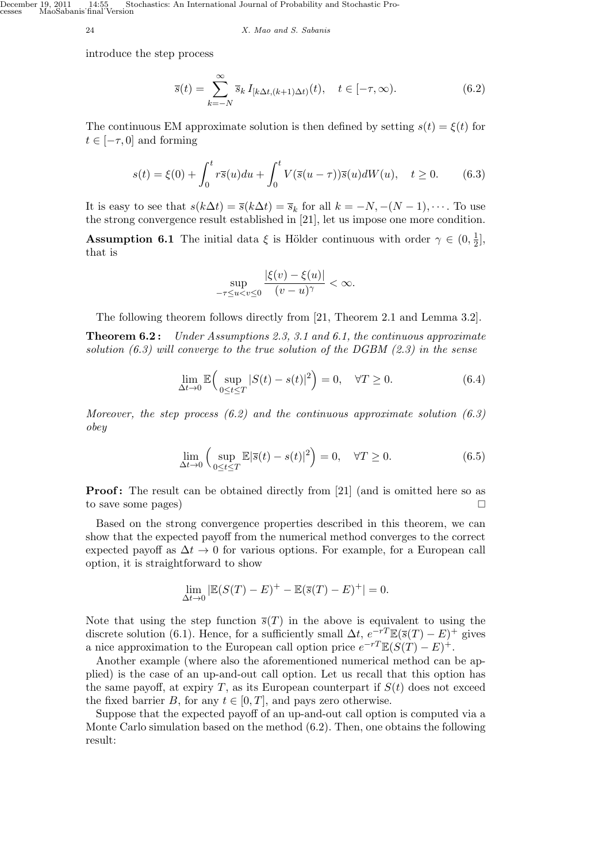December 19, 2011 14:55 Stochastics: An International Journal of Probability and Stochastic Processes MaoSabanis˙final˙Version

24 *X. Mao and S. Sabanis*

introduce the step process

$$
\overline{s}(t) = \sum_{k=-N}^{\infty} \overline{s}_k I_{[k\Delta t, (k+1)\Delta t)}(t), \quad t \in [-\tau, \infty).
$$
 (6.2)

The continuous EM approximate solution is then defined by setting  $s(t) = \xi(t)$  for  $t \in [-\tau, 0]$  and forming

$$
s(t) = \xi(0) + \int_0^t r\overline{s}(u)du + \int_0^t V(\overline{s}(u-\tau))\overline{s}(u)dW(u), \quad t \ge 0.
$$
 (6.3)

It is easy to see that  $s(k\Delta t) = \overline{s}(k\Delta t) = \overline{s}_k$  for all  $k = -N, -(N-1), \cdots$ . To use the strong convergence result established in [21], let us impose one more condition.

**Assumption 6.1** The initial data  $\xi$  is Hölder continuous with order  $\gamma \in (0, \frac{1}{2})$  $\frac{1}{2}$ , that is

$$
\sup_{-\tau \le u < v \le 0} \frac{|\xi(v) - \xi(u)|}{(v - u)^{\gamma}} < \infty.
$$

The following theorem follows directly from [21, Theorem 2.1 and Lemma 3.2].

**Theorem 6.2 :** *Under Assumptions 2.3, 3.1 and 6.1, the continuous approximate solution (6.3) will converge to the true solution of the DGBM (2.3) in the sense*

$$
\lim_{\Delta t \to 0} \mathbb{E}\Big(\sup_{0 \le t \le T} |S(t) - s(t)|^2\Big) = 0, \quad \forall T \ge 0.
$$
\n(6.4)

*Moreover, the step process (6.2) and the continuous approximate solution (6.3) obey*

$$
\lim_{\Delta t \to 0} \left( \sup_{0 \le t \le T} \mathbb{E} |\overline{s}(t) - s(t)|^2 \right) = 0, \quad \forall T \ge 0.
$$
 (6.5)

**Proof:** The result can be obtained directly from [21] (and is omitted here so as to save some pages)

Based on the strong convergence properties described in this theorem, we can show that the expected payoff from the numerical method converges to the correct expected payoff as  $\Delta t \rightarrow 0$  for various options. For example, for a European call option, it is straightforward to show

$$
\lim_{\Delta t \to 0} |\mathbb{E}(S(T) - E)^{+} - \mathbb{E}(\overline{s}(T) - E)^{+}| = 0.
$$

Note that using the step function  $\bar{s}(T)$  in the above is equivalent to using the discrete solution (6.1). Hence, for a sufficiently small  $\Delta t$ ,  $e^{-rT}\mathbb{E}(\bar{s}(T)-E)^+$  gives a nice approximation to the European call option price  $e^{-rT}\mathbb{E}(S(T)-E)^+$ .

Another example (where also the aforementioned numerical method can be applied) is the case of an up-and-out call option. Let us recall that this option has the same payoff, at expiry  $T$ , as its European counterpart if  $S(t)$  does not exceed the fixed barrier *B*, for any  $t \in [0, T]$ , and pays zero otherwise.

Suppose that the expected payoff of an up-and-out call option is computed via a Monte Carlo simulation based on the method (6.2). Then, one obtains the following result: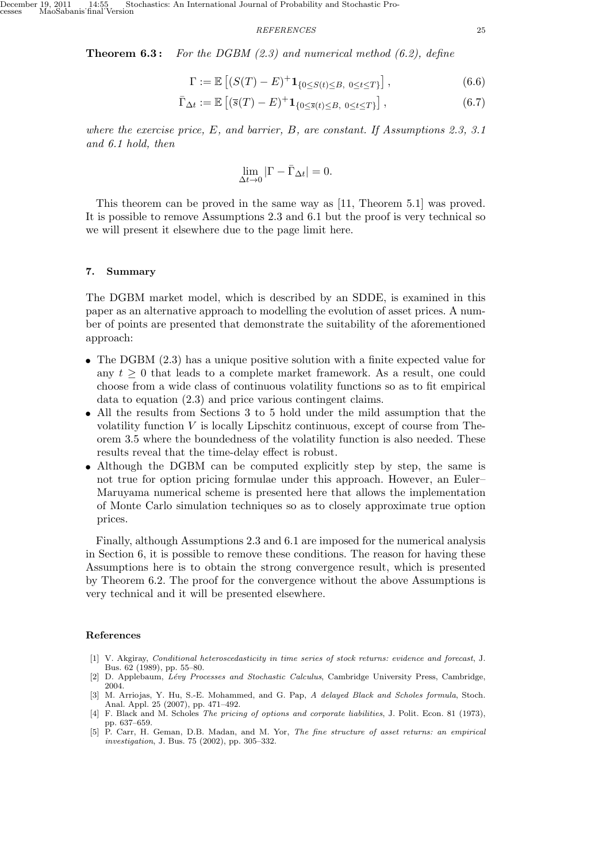*REFERENCES* 25

**Theorem 6.3 :** *For the DGBM (2.3) and numerical method (6.2), define*

$$
\Gamma := \mathbb{E}\left[ (S(T) - E)^+ \mathbf{1}_{\{0 \le S(t) \le B, \ 0 \le t \le T\}} \right],\tag{6.6}
$$

$$
\bar{\Gamma}_{\Delta t} := \mathbb{E}\left[ (\bar{s}(T) - E)^+ \mathbf{1}_{\{0 \le \bar{s}(t) \le B, \ 0 \le t \le T\}} \right],\tag{6.7}
$$

*where the exercise price, E, and barrier, B, are constant. If Assumptions 2.3, 3.1 and 6.1 hold, then*

$$
\lim_{\Delta t \to 0} |\Gamma - \bar{\Gamma}_{\Delta t}| = 0.
$$

This theorem can be proved in the same way as [11, Theorem 5.1] was proved. It is possible to remove Assumptions 2.3 and 6.1 but the proof is very technical so we will present it elsewhere due to the page limit here.

### **7. Summary**

The DGBM market model, which is described by an SDDE, is examined in this paper as an alternative approach to modelling the evolution of asset prices. A number of points are presented that demonstrate the suitability of the aforementioned approach:

- The DGBM (2.3) has a unique positive solution with a finite expected value for any  $t \geq 0$  that leads to a complete market framework. As a result, one could choose from a wide class of continuous volatility functions so as to fit empirical data to equation (2.3) and price various contingent claims.
- *•* All the results from Sections 3 to 5 hold under the mild assumption that the volatility function *V* is locally Lipschitz continuous, except of course from Theorem 3.5 where the boundedness of the volatility function is also needed. These results reveal that the time-delay effect is robust.
- Although the DGBM can be computed explicitly step by step, the same is not true for option pricing formulae under this approach. However, an Euler– Maruyama numerical scheme is presented here that allows the implementation of Monte Carlo simulation techniques so as to closely approximate true option prices.

Finally, although Assumptions 2.3 and 6.1 are imposed for the numerical analysis in Section 6, it is possible to remove these conditions. The reason for having these Assumptions here is to obtain the strong convergence result, which is presented by Theorem 6.2. The proof for the convergence without the above Assumptions is very technical and it will be presented elsewhere.

### **References**

- [1] V. Akgiray, *Conditional heteroscedasticity in time series of stock returns: evidence and forecast*, J. Bus. 62 (1989), pp. 55–80.
- [2] D. Applebaum, *L´evy Processes and Stochastic Calculus*, Cambridge University Press, Cambridge, 2004.
- [3] M. Arriojas, Y. Hu, S.-E. Mohammed, and G. Pap, *A delayed Black and Scholes formula*, Stoch. Anal. Appl. 25 (2007), pp. 471–492.
- [4] F. Black and M. Scholes *The pricing of options and corporate liabilities*, J. Polit. Econ. 81 (1973), pp. 637–659.
- [5] P. Carr, H. Geman, D.B. Madan, and M. Yor, *The fine structure of asset returns: an empirical investigation*, J. Bus. 75 (2002), pp. 305–332.